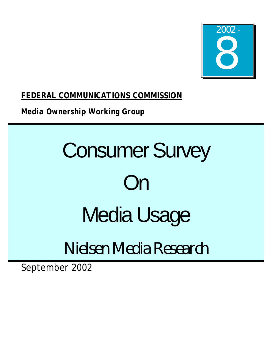

*FEDERAL COMMUNICATIONS COMMISSION*

*Media Ownership Working Group*

# **Consumer Survey** On Media Usage

# Nielsen Media Research

September 2002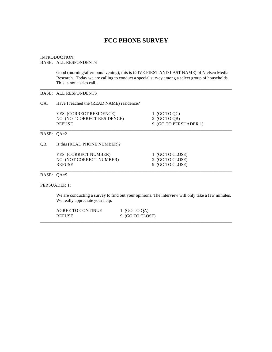# **FCC PHONE SURVEY**

# INTRODUCTION:

#### BASE: ALL RESPONDENTS

Good (morning/afternoon/evening), this is (GIVE FIRST AND LAST NAME) of Nielsen Media Research. Today we are calling to conduct a special survey among a select group of households. This is not a sales call.

\_\_\_\_\_\_\_\_\_\_\_\_\_\_\_\_\_\_\_\_\_\_\_\_\_\_\_\_\_\_\_\_\_\_\_\_\_\_\_\_\_\_\_\_\_\_\_\_\_\_\_\_\_\_\_\_\_\_\_\_\_\_\_\_\_\_\_\_\_\_\_\_\_\_\_\_\_\_\_\_\_\_\_\_\_\_

# BASE: ALL RESPONDENTS

# QA. Have I reached the (READ NAME) residence?

| YES (CORRECT RESIDENCE)    | 1 (GO TO OC)          |
|----------------------------|-----------------------|
| NO (NOT CORRECT RESIDENCE) | 2 (GO TO OB)          |
| <b>REFUSE</b>              | 9 (GO TO PERSUADER 1) |
|                            |                       |

#### BASE: QA=2

QB. Is this (READ PHONE NUMBER)?

| YES (CORRECT NUMBER)    | 1 (GO TO CLOSE) |
|-------------------------|-----------------|
| NO (NOT CORRECT NUMBER) | 2 (GO TO CLOSE) |
| <b>REFUSE</b>           | 9 (GO TO CLOSE) |
|                         |                 |

# BASE: QA=9

PERSUADER 1:

We are conducting a survey to find out your opinions. The interview will only take a few minutes. We really appreciate your help.

| <b>AGREE TO CONTINUE</b> | (GO TO OA)      |  |
|--------------------------|-----------------|--|
| <b>REFUSE</b>            | 9 (GO TO CLOSE) |  |
|                          |                 |  |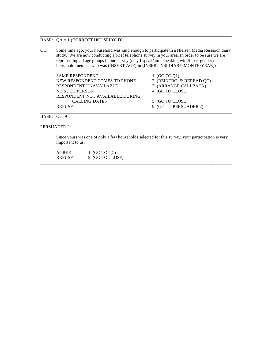# BASE: QA = 1 (CORRECT HOUSEHOLD)

QC. Some time ago, your household was kind enough to participate in a Nielsen Media Research diary study. We are now conducting a brief telephone survey in your area. In order to be sure we are representing all age groups in our survey (may I speak/am I speaking with/insert gender) household member who was (INSERT AGE) in (INSERT NSI DIARY MONTH/YEAR)?

\_\_\_\_\_\_\_\_\_\_\_\_\_\_\_\_\_\_\_\_\_\_\_\_\_\_\_\_\_\_\_\_\_\_\_\_\_\_\_\_\_\_\_\_\_\_\_\_\_\_\_\_\_\_\_\_\_\_\_\_\_\_\_\_\_\_\_\_\_\_\_\_\_\_\_\_\_\_\_\_\_\_\_\_\_\_

SAME RESPONDENT 1 (GO TO Q1) NEW RESPONDENT COMES TO PHONE 2 (REINTRO. & REREAD QC) RESPONDENT UNAVAILABLE 3 (ARRANGE CALLBACK) NO SUCH PERSON 4 (GO TO CLOSE) RESPONDENT NOT AVAILABLE DURING CALLING DATES 5 (GO TO CLOSE) REFUSE 9 (GO TO PERSUADER 2)

BASE: QC=9

PERSUADER 2:

Since yours was one of only a few households selected for this survey, your participation is very important to us.

\_\_\_\_\_\_\_\_\_\_\_\_\_\_\_\_\_\_\_\_\_\_\_\_\_\_\_\_\_\_\_\_\_\_\_\_\_\_\_\_\_\_\_\_\_\_\_\_\_\_\_\_\_\_\_\_\_\_\_\_\_\_\_\_\_\_\_\_\_\_\_\_\_\_\_\_\_\_\_\_\_\_\_\_\_\_

\_\_\_\_\_\_\_\_\_\_\_\_\_\_\_\_\_\_\_\_\_\_\_\_\_\_\_\_\_\_\_\_\_\_\_\_\_\_\_\_\_\_\_\_\_\_\_\_\_\_\_\_\_\_\_\_\_\_\_\_\_\_\_\_\_\_\_\_\_\_\_\_\_\_\_\_\_\_\_\_\_\_\_\_\_\_

| AGREE         | 1 (GO TO QC)    |
|---------------|-----------------|
| <b>REFUSE</b> | 9 (GO TO CLOSE) |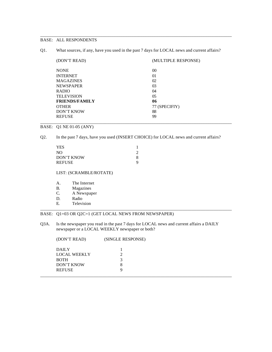Q1. What sources, if any, have you used in the past 7 days for LOCAL news and current affairs?

\_\_\_\_\_\_\_\_\_\_\_\_\_\_\_\_\_\_\_\_\_\_\_\_\_\_\_\_\_\_\_\_\_\_\_\_\_\_\_\_\_\_\_\_\_\_\_\_\_\_\_\_\_\_\_\_\_\_\_\_\_\_\_\_\_\_\_\_\_\_\_\_\_\_\_\_\_\_\_\_\_\_\_\_\_\_

| (DON'T READ)          | (MULTIPLE RESPONSE) |
|-----------------------|---------------------|
| <b>NONE</b>           | 0 <sup>0</sup>      |
| <b>INTERNET</b>       | 01                  |
| <b>MAGAZINES</b>      | 02                  |
| <b>NEWSPAPER</b>      | 03                  |
| <b>RADIO</b>          | 04                  |
| <b>TELEVISION</b>     | 05                  |
| <b>FRIENDS/FAMILY</b> | 06                  |
| <b>OTHER</b>          | 77 (SPECIFIY)       |
| <b>DON'T KNOW</b>     | 88                  |
| <b>REFUSE</b>         | 99                  |
|                       |                     |

#### BASE: Q1 NE 01-05 (ANY)

Q2. In the past 7 days, have you used (INSERT CHOICE) for LOCAL news and current affairs?

| YES        |  |
|------------|--|
| NО         |  |
| DON'T KNOW |  |
| REFUSE     |  |

#### LIST: (SCRAMBLE/ROTATE)

- A. The Internet<br>B. Magazines
- B. Magazines<br>C. A Newspap
- A Newspaper
- D. Radio<br>E. Televi
- Television

# BASE: Q1=03 OR Q2C=1 (GET LOCAL NEWS FROM NEWSPAPER)

Q3A. Is the newspaper you read in the past 7 days for LOCAL news and current affairs a DAILY newspaper or a LOCAL WEEKLY newspaper or both?

\_\_\_\_\_\_\_\_\_\_\_\_\_\_\_\_\_\_\_\_\_\_\_\_\_\_\_\_\_\_\_\_\_\_\_\_\_\_\_\_\_\_\_\_\_\_\_\_\_\_\_\_\_\_\_\_\_\_\_\_\_\_\_\_\_\_\_\_\_\_\_\_\_\_\_\_\_\_\_\_\_\_\_\_\_\_

| (DON'T READ)        | (SINGLE RESPONSE) |  |
|---------------------|-------------------|--|
| <b>DAILY</b>        |                   |  |
| <b>LOCAL WEEKLY</b> |                   |  |
| <b>BOTH</b>         |                   |  |
| <b>DON'T KNOW</b>   |                   |  |
| <b>REFUSE</b>       |                   |  |
|                     |                   |  |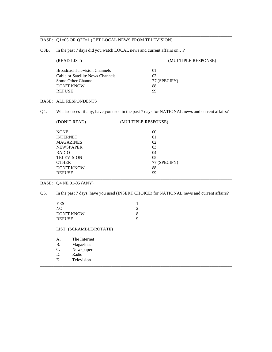#### BASE: Q1=05 OR Q2E=1 (GET LOCAL NEWS FROM TELEVISION)

Q3B. In the past 7 days did you watch LOCAL news and current affairs on…?

| (READ LIST)                          | (MULTIPLE RESPONSE) |  |
|--------------------------------------|---------------------|--|
| <b>Broadcast Television Channels</b> | 01                  |  |
| Cable or Satellite News Channels     | 02                  |  |
| Some Other Channel                   | 77 (SPECIFY)        |  |
| DON'T KNOW                           | 88                  |  |
| <b>REFUSE</b>                        | 99                  |  |

\_\_\_\_\_\_\_\_\_\_\_\_\_\_\_\_\_\_\_\_\_\_\_\_\_\_\_\_\_\_\_\_\_\_\_\_\_\_\_\_\_\_\_\_\_\_\_\_\_\_\_\_\_\_\_\_\_\_\_\_\_\_\_\_\_\_\_\_\_\_\_\_\_\_\_\_\_\_\_\_\_\_\_\_\_\_

# BASE: ALL RESPONDENTS

Q4. What sources, if any, have you used in the past 7 days for NATIONAL news and current affairs?

| (DON'T READ)      | (MULTIPLE RESPONSE) |  |
|-------------------|---------------------|--|
| <b>NONE</b>       | $00\,$              |  |
| <b>INTERNET</b>   | 01                  |  |
| <b>MAGAZINES</b>  | 02                  |  |
| <b>NEWSPAPER</b>  | 03                  |  |
| <b>RADIO</b>      | 04                  |  |
| <b>TELEVISION</b> | 05                  |  |
| <b>OTHER</b>      | 77 (SPECIFY)        |  |
| <b>DON'T KNOW</b> | 88                  |  |
| <b>REFUSE</b>     | 99                  |  |
|                   |                     |  |

BASE: Q4 NE 01-05 (ANY)

Q5. In the past 7 days, have you used (INSERT CHOICE) for NATIONAL news and current affairs?

\_\_\_\_\_\_\_\_\_\_\_\_\_\_\_\_\_\_\_\_\_\_\_\_\_\_\_\_\_\_\_\_\_\_\_\_\_\_\_\_\_\_\_\_\_\_\_\_\_\_\_\_\_\_\_\_\_\_\_\_\_\_\_\_\_\_\_\_\_\_\_\_\_\_\_\_\_\_\_\_\_\_\_\_\_\_

| <b>YES</b>        |  |
|-------------------|--|
| NO.               |  |
| <b>DON'T KNOW</b> |  |
| <b>REFUSE</b>     |  |

LIST: (SCRAMBLE/ROTATE)

| $\mathsf{A}$ . | The Internet |
|----------------|--------------|
| B.             | Magazines    |
| $\mathcal{C}$  | Newspaper    |
| $D_{\cdot}$    | Radio        |

E. Television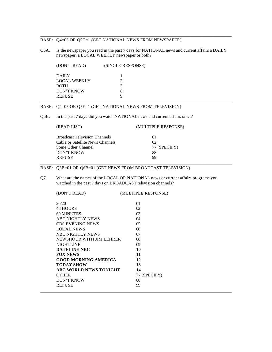# BASE: Q4=03 OR Q5C=1 (GET NATIONAL NEWS FROM NEWSPAPER)

Q6A. Is the newspaper you read in the past 7 days for NATIONAL news and current affairs a DAILY newspaper, a LOCAL WEEKLY newspaper or both?

\_\_\_\_\_\_\_\_\_\_\_\_\_\_\_\_\_\_\_\_\_\_\_\_\_\_\_\_\_\_\_\_\_\_\_\_\_\_\_\_\_\_\_\_\_\_\_\_\_\_\_\_\_\_\_\_\_\_\_\_\_\_\_\_\_\_\_\_\_\_\_\_\_\_\_\_\_\_\_\_\_\_\_\_\_\_

| (DON'T READ)        | (SINGLE RESPONSE) |  |
|---------------------|-------------------|--|
| <b>DAILY</b>        |                   |  |
| <b>LOCAL WEEKLY</b> |                   |  |
| <b>BOTH</b>         |                   |  |
| <b>DON'T KNOW</b>   |                   |  |
| <b>REFUSE</b>       |                   |  |
|                     |                   |  |

# BASE: Q4=05 OR Q5E=1 (GET NATIONAL NEWS FROM TELEVISION)

Q6B. In the past 7 days did you watch NATIONAL news and current affairs on…?

# (READ LIST) (MULTIPLE RESPONSE)

| <b>Broadcast Television Channels</b> | 01           |
|--------------------------------------|--------------|
| Cable or Satellite News Channels     | 02           |
| Some Other Channel                   | 77 (SPECIFY) |
| DON'T KNOW                           | 88           |
| <b>REFUSE</b>                        | 99           |
|                                      |              |

#### BASE: Q3B=01 OR Q6B=01 (GET NEWS FROM BROADCAST TELEVISION)

Q7. What are the names of the LOCAL OR NATIONAL news or current affairs programs you watched in the past 7 days on BROADCAST television channels?

| (DON'T READ)                  | (MULTIPLE RESPONSE) |
|-------------------------------|---------------------|
| 20/20                         | 01                  |
| <b>48 HOURS</b>               | 02                  |
| <b>60 MINUTES</b>             | 03                  |
| ABC NIGHTLY NEWS              | 04                  |
| <b>CBS EVENING NEWS</b>       | 0 <sub>5</sub>      |
| <b>LOCAL NEWS</b>             | 06                  |
| NBC NIGHTLY NEWS              | 07                  |
| NEWSHOUR WITH JIM LEHRER      | 08                  |
| <b>NIGHTLINE</b>              | 09                  |
| <b>DATELINE NBC</b>           | 10                  |
| <b>FOX NEWS</b>               | 11                  |
| <b>GOOD MORNING AMERICA</b>   | 12                  |
| <b>TODAY SHOW</b>             | 13                  |
| <b>ABC WORLD NEWS TONIGHT</b> | 14                  |
| <b>OTHER</b>                  | 77 (SPECIFY)        |
| <b>DON'T KNOW</b>             | 88                  |
| <b>REFUSE</b>                 | 99                  |
|                               |                     |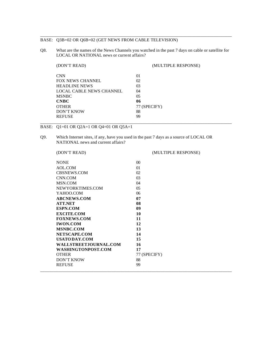#### BASE: Q3B=02 OR Q6B=02 (GET NEWS FROM CABLE TELEVISION)

Q8. What are the names of the News Channels you watched in the past 7 days on cable or satellite for LOCAL OR NATIONAL news or current affairs?

\_\_\_\_\_\_\_\_\_\_\_\_\_\_\_\_\_\_\_\_\_\_\_\_\_\_\_\_\_\_\_\_\_\_\_\_\_\_\_\_\_\_\_\_\_\_\_\_\_\_\_\_\_\_\_\_\_\_\_\_\_\_\_\_\_\_\_\_\_\_\_\_\_\_\_\_\_\_\_\_\_\_\_\_\_\_

| (DON'T READ)             | (MULTIPLE RESPONSE) |
|--------------------------|---------------------|
| <b>CNN</b>               | 01                  |
| FOX NEWS CHANNEL         | 02                  |
| <b>HEADLINE NEWS</b>     | 03                  |
| LOCAL CABLE NEWS CHANNEL | 04                  |
| <b>MSNBC</b>             | 05                  |
| <b>CNBC</b>              | 06                  |
| <b>OTHER</b>             | 77 (SPECIFY)        |
| <b>DON'T KNOW</b>        | 88                  |
| <b>REFUSE</b>            | 99                  |
|                          |                     |

BASE: Q1=01 OR Q2A=1 OR Q4=01 OR Q5A=1

Q9. Which Internet sites, if any, have you used in the past 7 days as a source of LOCAL OR NATIONAL news and current affairs?

\_\_\_\_\_\_\_\_\_\_\_\_\_\_\_\_\_\_\_\_\_\_\_\_\_\_\_\_\_\_\_\_\_\_\_\_\_\_\_\_\_\_\_\_\_\_\_\_\_\_\_\_\_\_\_\_\_\_\_\_\_\_\_\_\_\_\_\_\_\_\_\_\_\_\_\_\_\_\_\_\_\_\_\_\_\_

\_\_\_\_\_\_\_\_\_\_\_\_\_\_\_\_\_\_\_\_\_\_\_\_\_\_\_\_\_\_\_\_\_\_\_\_\_\_\_\_\_\_\_\_\_\_\_\_\_\_\_\_\_\_\_\_\_\_\_\_\_\_\_\_\_\_\_\_\_\_\_\_\_\_\_\_\_\_\_\_\_\_\_\_\_\_

| <b>NONE</b>            | $\Omega$     |
|------------------------|--------------|
| AOL.COM                | 01           |
| <b>CBSNEWS.COM</b>     | 02           |
| CNN.COM                | 03           |
| MSN.COM                | $\Omega$ 4   |
| NEWYORKTIMES.COM       | 05           |
| YAHOO.COM              | 06           |
| <b>ABCNEWS.COM</b>     | 07           |
| <b>ATT.NET</b>         | 08           |
| <b>ESPN.COM</b>        | 09           |
| <b>EXCITE.COM</b>      | 10           |
| <b>FOXNEWS.COM</b>     | 11           |
| <b>IWON.COM</b>        | 12           |
| <b>MSNBC.COM</b>       | 13           |
| NETSCAPE.COM           | 14           |
| <b>USATO DAY.COM</b>   | 15           |
| WALLSTREET.IOURNAL.COM | 16           |
| WASHINGTONPOST.COM     | 17           |
| <b>OTHER</b>           | 77 (SPECIFY) |
| <b>DON'T KNOW</b>      | 88           |
| <b>REFUSE</b>          | 99           |

# (DON'T READ) (MULTIPLE RESPONSE)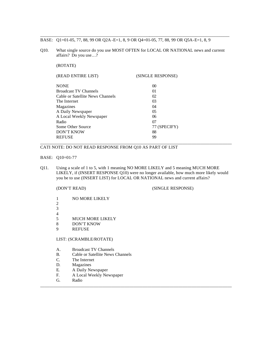BASE: Q1=01-05, 77, 88, 99 OR Q2A -E=1, 8, 9 OR Q4=01-05, 77, 88, 99 OR Q5A-E=1, 8, 9

Q10. What single source do you use MOST OFTEN for LOCAL OR NATIONAL news and current affairs? Do you use…?

\_\_\_\_\_\_\_\_\_\_\_\_\_\_\_\_\_\_\_\_\_\_\_\_\_\_\_\_\_\_\_\_\_\_\_\_\_\_\_\_\_\_\_\_\_\_\_\_\_\_\_\_\_\_\_\_\_\_\_\_\_\_\_\_\_\_\_\_\_\_\_\_\_\_\_\_\_\_\_\_\_\_\_\_\_

(ROTATE)

| (READ ENTIRE LIST)               | (SINGLE RESPONSE) |  |
|----------------------------------|-------------------|--|
| <b>NONE</b>                      | $\Omega$          |  |
| <b>Broadcast TV Channels</b>     | 01                |  |
| Cable or Satellite News Channels | 02                |  |
| The Internet                     | 03                |  |
| Magazines                        | 04                |  |
| A Daily Newspaper                | 05                |  |
| A Local Weekly Newspaper         | 06                |  |
| Radio                            | 07                |  |
| Some Other Source                | 77 (SPECIFY)      |  |
| <b>DON'T KNOW</b>                | 88                |  |
| <b>REFUSE</b>                    | 99                |  |
|                                  |                   |  |

# CATI NOTE: DO NOT READ RESPONSE FROM Q10 AS PART OF LIST

#### BASE: Q10=01-77

Q11. Using a scale of 1 to 5, with 1 meaning NO MORE LIKELY and 5 meaning MUCH MORE LIKELY, if (INSERT RESPONSE Q10) were no longer available, how much more likely would you be to use (INSERT LIST) for LOCAL OR NATIONAL news and current affairs?

\_\_\_\_\_\_\_\_\_\_\_\_\_\_\_\_\_\_\_\_\_\_\_\_\_\_\_\_\_\_\_\_\_\_\_\_\_\_\_\_\_\_\_\_\_\_\_\_\_\_\_\_\_\_\_\_\_\_\_\_\_\_\_\_\_\_\_\_\_\_\_\_\_\_\_\_\_\_\_\_\_\_\_\_\_\_

# (DON'T READ) (SINGLE RESPONSE)

1 NO MORE LIKELY 2 3  $\frac{4}{5}$ **MUCH MORE LIKELY** 8 DON'T KNOW 9 REFUSE

# LIST: (SCRAMBLE/ROTATE)

- A. Broadcast TV Channels
- B. Cable or Satellite News Channels
- C. The Internet
- D. Magazines
- E. A Daily Newspaper
- F. A Local Weekly Newspaper
- G. Radio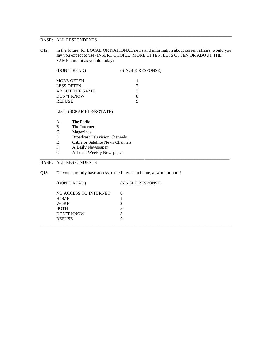Q12. In the future, for LOCAL OR NATIONAL news and information about current affairs, would you say you expect to use (INSERT CHOICE) MORE OFTEN, LESS OFTEN OR ABOUT THE SAME amount as you do today?

\_\_\_\_\_\_\_\_\_\_\_\_\_\_\_\_\_\_\_\_\_\_\_\_\_\_\_\_\_\_\_\_\_\_\_\_\_\_\_\_\_\_\_\_\_\_\_\_\_\_\_\_\_\_\_\_\_\_\_\_\_\_\_\_\_\_\_\_\_\_\_\_\_\_\_\_\_\_\_\_\_\_\_\_\_\_

| (DON'T READ)          | (SINGLE RESPONSE) |
|-----------------------|-------------------|
| <b>MORE OFTEN</b>     |                   |
| <b>LESS OFTEN</b>     |                   |
| <b>ABOUT THE SAME</b> | 3                 |
| DON'T KNOW            |                   |
| <b>REFUSE</b>         |                   |

LIST: (SCRAMBLE/ROTATE)

- A. The Radio
- B. The Internet<br>C. Magazines
- Magazines
- D. Broadcast Television Channels
- E. Cable or Satellite News Channels<br>F. A Daily Newspaper
- A Daily Newspaper
- G. A Local Weekly Newspaper

# BASE: ALL RESPONDENTS

Q13. Do you currently have access to the Internet at home, at work or both?

| (DON'T READ)          | (SINGLE RESPONSE) |
|-----------------------|-------------------|
| NO ACCESS TO INTERNET |                   |
| HOME                  |                   |
| <b>WORK</b>           |                   |
| <b>BOTH</b>           |                   |
| <b>DON'T KNOW</b>     | 8                 |
| <b>REFUSE</b>         |                   |
|                       |                   |

\_\_\_\_\_\_\_\_\_\_\_\_\_\_\_\_\_\_\_\_\_\_\_\_\_\_\_\_\_\_\_\_\_\_\_\_\_\_\_\_\_\_\_\_\_\_\_\_\_\_\_\_\_\_\_\_\_\_\_\_\_\_\_\_\_\_\_\_\_\_\_\_\_\_\_\_\_\_\_\_\_\_\_\_\_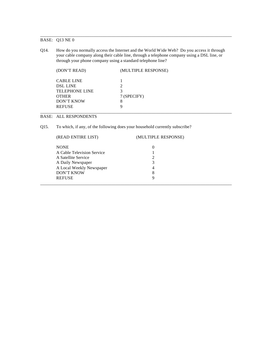# BASE: Q13 NE 0

Q14. How do you normally access the Internet and the World Wide Web? Do you access it through your cable company along their cable line, through a telephone company using a DSL line, or through your phone company using a standard telephone line?

\_\_\_\_\_\_\_\_\_\_\_\_\_\_\_\_\_\_\_\_\_\_\_\_\_\_\_\_\_\_\_\_\_\_\_\_\_\_\_\_\_\_\_\_\_\_\_\_\_\_\_\_\_\_\_\_\_\_\_\_\_\_\_\_\_\_\_\_\_\_\_\_\_\_\_\_\_\_\_\_\_\_\_\_\_\_

| (DON'T READ)                                                                                | (MULTIPLE RESPONSE) |
|---------------------------------------------------------------------------------------------|---------------------|
| <b>CABLE LINE</b><br><b>DSL LINE</b><br><b>TELEPHONE LINE</b><br><b>OTHER</b><br>DON'T KNOW | 7 (SPECIFY)<br>8    |
| <b>REFUSE</b>                                                                               | a                   |

# BASE: ALL RESPONDENTS

Q15. To which, if any, of the following does your household currently subscribe?

| (READ ENTIRE LIST)         | (MULTIPLE RESPONSE) |  |
|----------------------------|---------------------|--|
| <b>NONE</b>                | 0                   |  |
| A Cable Television Service |                     |  |
| A Satellite Service        |                     |  |
| A Daily Newspaper          |                     |  |
| A Local Weekly Newspaper   | 4                   |  |
| <b>DON'T KNOW</b>          | 8                   |  |
| <b>REFUSE</b>              | Q                   |  |
|                            |                     |  |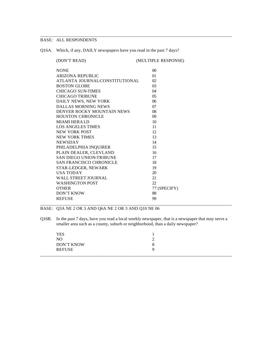Q16A. Which, if any, DAILY newspapers have you read in the past 7 days?

| (DON'T READ)                   | (MULTIPLE RESPONSE) |
|--------------------------------|---------------------|
| <b>NONE</b>                    | $\Omega$            |
| <b>ARIZONA REPUBLIC</b>        | 01                  |
| ATLANTA JOURNAL CONSTITUTIONAL | 02                  |
| <b>BOSTON GLOBE</b>            | 0 <sub>3</sub>      |
| CHICAGO SUN-TIMES              | 04                  |
| <b>CHICAGO TRIBUNE</b>         | 05                  |
| DAILY NEWS, NEW YORK           | 06                  |
| <b>DALLAS MORNING NEWS</b>     | 07                  |
| DENVER ROCKY MOUNTAIN NEWS     | 08                  |
| <b>HOUSTON CHRONICLE</b>       | 09                  |
| <b>MIAMI HERALD</b>            | 10                  |
| <b>LOS ANGELES TIMES</b>       | 11                  |
| NEW YORK POST                  | 12                  |
| <b>NEW YORK TIMES</b>          | 13                  |
| <b>NEWSDAY</b>                 | 14                  |
| PHILADELPHIA INQUIRER          | 15                  |
| PLAIN DEALER, CLEVLAND         | 16                  |
| SAN DIEGO UNION-TRIBUNE        | 17                  |
| <b>SAN FRANCISCO CHRONICLE</b> | 18                  |
| STAR-LEDGER, NEWARK            | 19                  |
| <b>USA TODAY</b>               | 20                  |
| <b>WALL STREET JOURNAL</b>     | 21                  |
| <b>WASHINGTON POST</b>         | 22                  |
| <b>OTHER</b>                   | 77 (SPECIFY)        |
| <b>DON'T KNOW</b>              | 88                  |
| <b>REFUSE</b>                  | 99                  |
|                                |                     |

\_\_\_\_\_\_\_\_\_\_\_\_\_\_\_\_\_\_\_\_\_\_\_\_\_\_\_\_\_\_\_\_\_\_\_\_\_\_\_\_\_\_\_\_\_\_\_\_\_\_\_\_\_\_\_\_\_\_\_\_\_\_\_\_\_\_\_\_\_\_\_\_\_\_\_\_\_\_\_\_\_\_\_\_\_\_

BASE: Q3A NE 2 OR 3 AND Q6A NE 2 OR 3 AND Q10 NE 06

Q16B. In the past 7 days, have you read a local weekly newspaper, that is a newspaper that may serve a smaller area such as a county, suburb or neighborhood, than a daily newspaper?

| YES           |   |  |
|---------------|---|--|
| NO            |   |  |
| DON'T KNOW    | Ω |  |
| <b>REFUSE</b> |   |  |
|               |   |  |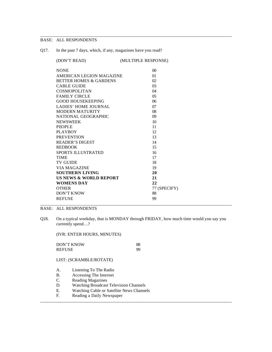Q17. In the past 7 days, which, if any, magazines have you read?

| (DON'T READ)           |                                   | (MULTIPLE RESPONSE) |
|------------------------|-----------------------------------|---------------------|
| <b>NONE</b>            |                                   | $\Omega$            |
|                        | AMERICAN LEGION MAGAZINE          | 01                  |
|                        | BETTER HOMES & GARDENS            | 02                  |
| <b>CABLE GUIDE</b>     |                                   | 0 <sub>3</sub>      |
| <b>COSMOPOLITAN</b>    |                                   | 04                  |
| <b>FAMILY CIRCLE</b>   |                                   | 05                  |
|                        | <b>GOOD HOUSEKEEPING</b>          | 06                  |
|                        | <b>LADIES' HOME JOURNAL</b>       | 07                  |
|                        | <b>MODERN MATURITY</b>            | 08                  |
|                        | NATIONAL GEOGRAPHIC               | 09                  |
| <b>NEWSWEEK</b>        |                                   | 10                  |
| <b>PEOPLE</b>          |                                   | 11                  |
| <b>PLAYBOY</b>         |                                   | 12                  |
| <b>PREVENTION</b>      |                                   | 13                  |
| <b>READER'S DIGEST</b> |                                   | 14                  |
| <b>REDBOOK</b>         |                                   | 15                  |
|                        | <b>SPORTS ILLUSTRATED</b>         | 16                  |
| <b>TIME</b>            |                                   | 17                  |
| <b>TV GUIDE</b>        |                                   | 18                  |
| <b>VIA MAGAZINE</b>    |                                   | 19                  |
|                        | <b>SOUTHERN LIVING</b>            | 20                  |
|                        | <b>US NEWS &amp; WORLD REPORT</b> | 21                  |
| <b>WOMENS DAY</b>      |                                   | 22                  |
| <b>OTHER</b>           |                                   | 77 (SPECIFY)        |
| DON'T KNOW             |                                   | 88                  |
| <b>REFUSE</b>          |                                   | 99                  |
|                        |                                   |                     |

\_\_\_\_\_\_\_\_\_\_\_\_\_\_\_\_\_\_\_\_\_\_\_\_\_\_\_\_\_\_\_\_\_\_\_\_\_\_\_\_\_\_\_\_\_\_\_\_\_\_\_\_\_\_\_\_\_\_\_\_\_\_\_\_\_\_\_\_\_\_\_\_\_\_\_\_\_\_\_\_\_\_\_\_\_\_

# BASE: ALL RESPONDENTS

Q18. On a typical weekday, that is MONDAY through FRIDAY, how much time would you say you currently spend…?

\_\_\_\_\_\_\_\_\_\_\_\_\_\_\_\_\_\_\_\_\_\_\_\_\_\_\_\_\_\_\_\_\_\_\_\_\_\_\_\_\_\_\_\_\_\_\_\_\_\_\_\_\_\_\_\_\_\_\_\_\_\_\_\_\_\_\_\_\_\_\_\_\_\_\_\_\_\_\_\_\_\_\_\_\_\_

(IVR: ENTER HOURS, MINUTES)

| DON'T KNOW | 88 |
|------------|----|
| REFUSE     | 99 |

LIST: (SCRAMBLE/ROTATE)

- A. Listening To The Radio
- B. Accessing The Internet
- C. Reading Magazines
- D. Watching Broadcast Television Channels
- E. Watching Cable or Satellite News Channels<br>F. Reading a Daily Newspaper
- Reading a Daily Newspaper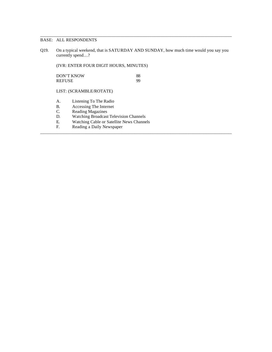Q19. On a typical weekend, that is SATURDAY AND SUNDAY, how much time would you say you currently spend…?

\_\_\_\_\_\_\_\_\_\_\_\_\_\_\_\_\_\_\_\_\_\_\_\_\_\_\_\_\_\_\_\_\_\_\_\_\_\_\_\_\_\_\_\_\_\_\_\_\_\_\_\_\_\_\_\_\_\_\_\_\_\_\_\_\_\_\_\_\_\_\_\_\_\_\_\_\_\_\_\_\_\_\_\_\_\_

\_\_\_\_\_\_\_\_\_\_\_\_\_\_\_\_\_\_\_\_\_\_\_\_\_\_\_\_\_\_\_\_\_\_\_\_\_\_\_\_\_\_\_\_\_\_\_\_\_\_\_\_\_\_\_\_\_\_\_\_\_\_\_\_\_\_\_\_\_\_\_\_\_\_\_\_\_\_\_\_\_\_\_\_\_\_

(IVR: ENTER FOUR DIGIT HOURS, MINUTES)

| DON'T KNOW | 88 |
|------------|----|
| REFUSE     | 99 |

LIST: (SCRAMBLE/ROTATE)

- A. Listening To The Radio
- B. Accessing The Internet
- C. Reading Magazines
- D. Watching Broadcast Television Channels
- E. Watching Cable or Satellite News Channels<br>F. Reading a Daily Newspaper
- Reading a Daily Newspaper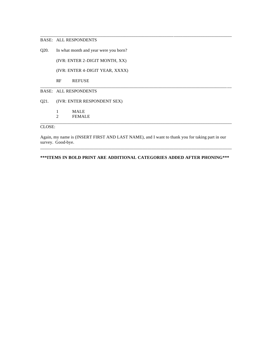Q20. In what month and year were you born?

(IVR: ENTER 2-DIGIT MONTH, XX)

(IVR: ENTER 4-DIGIT YEAR, XXXX)

RF REFUSE

# BASE: ALL RESPONDENTS

Q21. (IVR: ENTER RESPONDENT SEX)

1 MALE

2 FEMALE

# CLOSE:

Again, my name is (INSERT FIRST AND LAST NAME), and I want to thank you for taking part in our survey. Good-bye.

\_\_\_\_\_\_\_\_\_\_\_\_\_\_\_\_\_\_\_\_\_\_\_\_\_\_\_\_\_\_\_\_\_\_\_\_\_\_\_\_\_\_\_\_\_\_\_\_\_\_\_\_\_\_\_\_\_\_\_\_\_\_\_\_\_\_\_\_\_\_\_\_\_\_\_\_\_\_\_\_\_\_\_\_\_\_

\_\_\_\_\_\_\_\_\_\_\_\_\_\_\_\_\_\_\_\_\_\_\_\_\_\_\_\_\_\_\_\_\_\_\_\_\_\_\_\_\_\_\_\_\_\_\_\_\_\_\_\_\_\_\_\_\_\_\_\_\_\_\_\_\_\_\_\_\_\_\_\_\_\_\_\_\_\_\_\_\_\_\_\_\_\_

\_\_\_\_\_\_\_\_\_\_\_\_\_\_\_\_\_\_\_\_\_\_\_\_\_\_\_\_\_\_\_\_\_\_\_\_\_\_\_\_\_\_\_\_\_\_\_\_\_\_\_\_\_\_\_\_\_\_\_\_\_\_\_\_\_\_\_\_\_\_\_\_\_\_\_\_\_\_\_\_\_\_\_\_\_\_

**\*\*\*ITEMS IN BOLD PRINT ARE ADDITIONAL CATEGORIES ADDED AFTER PHONING\*\*\*** 

\_\_\_\_\_\_\_\_\_\_\_\_\_\_\_\_\_\_\_\_\_\_\_\_\_\_\_\_\_\_\_\_\_\_\_\_\_\_\_\_\_\_\_\_\_\_\_\_\_\_\_\_\_\_\_\_\_\_\_\_\_\_\_\_\_\_\_\_\_\_\_\_\_\_\_\_\_\_\_\_\_\_\_\_\_\_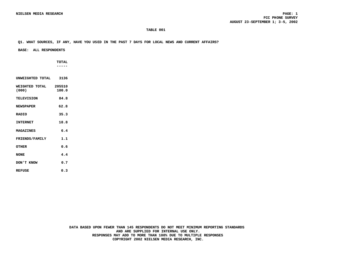**Q1. WHAT SOURCES, IF ANY, HAVE YOU USED IN THE PAST 7 DAYS FOR LOCAL NEWS AND CURRENT AFFAIRS?**

 **BASE: ALL RESPONDENTS**

 **TOTAL -----**

**WEIGHTED TOTAL 205510**<br>(000) 100.0 **(000) 100.0 TELEVISION 84.8 NEWSPAPER 62.8**

**UNWEIGHTED TOTAL 3136**

**RADIO 35.3 INTERNET 18.8**

**MAGAZINES 6.4** FRIENDS/FAMILY 1.1 **OTHER 0.6**

**NONE 4.4 DON'T KNOW 0.7**

**REFUSE 0.3**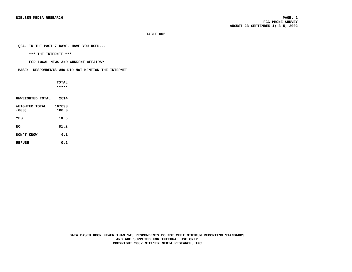**Q2A. IN THE PAST 7 DAYS, HAVE YOU USED...**

 **\*\*\* THE INTERNET \*\*\***

 **FOR LOCAL NEWS AND CURRENT AFFAIRS?**

 **BASE: RESPONDENTS WHO DID NOT MENTION THE INTERNET**

 **TOTAL -----**

| UNWEIGHTED TOTAL        | 2614            |
|-------------------------|-----------------|
| WEIGHTED TOTAL<br>(000) | 167093<br>100.0 |
| YES                     | 18.5            |
| NΟ                      | 81.2            |
| DON'T KNOW              | 0.1             |
| <b>REFUSE</b>           | 0.2             |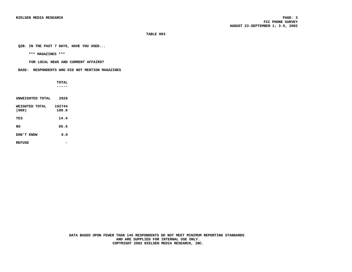**Q2B. IN THE PAST 7 DAYS, HAVE YOU USED...**

 **\*\*\* MAGAZINES \*\*\***

 **FOR LOCAL NEWS AND CURRENT AFFAIRS?**

 **BASE: RESPONDENTS WHO DID NOT MENTION MAGAZINES**

 **TOTAL -----**

| INWETCHTED TOTAL        | 2928            |
|-------------------------|-----------------|
| WEIGHTED TOTAL<br>(000) | 192744<br>100.0 |
| YES                     | 14.4            |
| NΟ                      | 85.6            |
| DON'T KNOW              | 0.0             |
| <b>REFUSE</b>           |                 |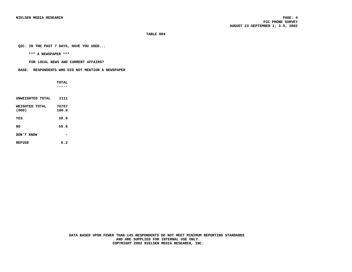**Q2C. IN THE PAST 7 DAYS, HAVE YOU USED...**

 **\*\*\* A NEWSPAPER \*\*\***

 **FOR LOCAL NEWS AND CURRENT AFFAIRS?**

 **BASE: RESPONDENTS WHO DID NOT MENTION A NEWSPAPER**

 **TOTAL -----**

| UNWEIGHTED TOTAL        | 1111           |
|-------------------------|----------------|
| WEIGHTED TOTAL<br>(000) | 76767<br>100.0 |
| YES                     | 39.9           |
| NΟ                      | 59.8           |
| <b>DON 'T KNOW</b>      |                |
| <b>REFUSE</b>           | 0.2            |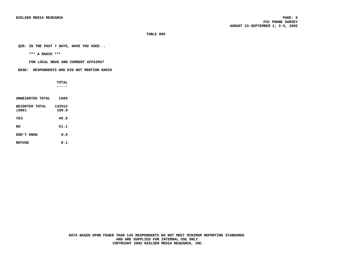**Q2D. IN THE PAST 7 DAYS, HAVE YOU USED...**

 **\*\*\* A RADIO \*\*\***

 **FOR LOCAL NEWS AND CURRENT AFFAIRS?**

 **BASE: RESPONDENTS WHO DID NOT MENTION RADIO**

 **TOTAL -----**

| UNWEIGHTED TOTAL        | 1980            |
|-------------------------|-----------------|
| WEIGHTED TOTAL<br>(000) | 132912<br>100.0 |
| YES                     | 48.8            |
| NΟ                      | 51.1            |
| DON'T KNOW              | 0.0             |
| <b>REFUSE</b>           | 0.1             |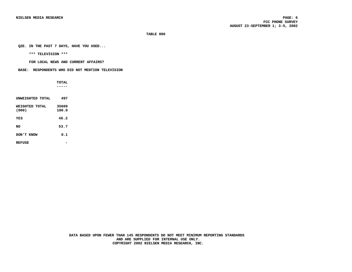**Q2E. IN THE PAST 7 DAYS, HAVE YOU USED...**

 **\*\*\* TELEVISION \*\*\***

 **FOR LOCAL NEWS AND CURRENT AFFAIRS?**

 **BASE: RESPONDENTS WHO DID NOT MENTION TELEVISION**

 **TOTAL -----**

| UNWEIGHTED TOTAL        | 497            |  |
|-------------------------|----------------|--|
| WEIGHTED TOTAL<br>(000) | 35609<br>100.0 |  |
| YES                     | 46.2           |  |
| NΟ                      | 53.7           |  |
| DON'T KNOW              | 0.1            |  |
| <b>REFUSE</b>           |                |  |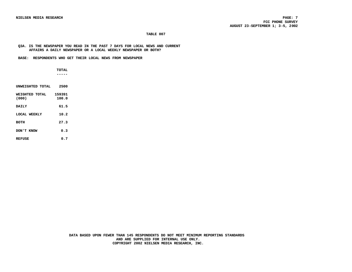#### **Q3A. IS THE NEWSPAPER YOU READ IN THE PAST 7 DAYS FOR LOCAL NEWS AND CURRENT AFFAIRS A DAILY NEWSPAPER OR A LOCAL WEEKLY NEWSPAPER OR BOTH?**

 **BASE: RESPONDENTS WHO GET THEIR LOCAL NEWS FROM NEWSPAPER**

 **TOTAL -----**

| UNWEIGHTED TOTAL        | 2500            |
|-------------------------|-----------------|
| WETCHTED TOTAL<br>(000) | 159391<br>100.0 |
| <b>DATT.Y</b>           | 61.5            |
| LOCAL WEEKLY            | 10.2            |
| <b>BOTH</b>             | 27.3            |
| ארא יימסמ               | 0.3             |
|                         |                 |

REFUSE 0.7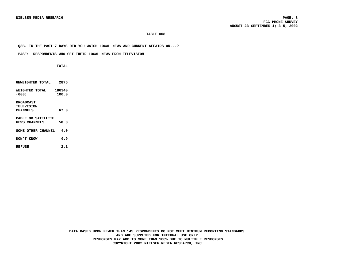#### **Q3B. IN THE PAST 7 DAYS DID YOU WATCH LOCAL NEWS AND CURRENT AFFAIRS ON...?**

#### **BASE: RESPONDENTS WHO GET THEIR LOCAL NEWS FROM TELEVISION**

 **TOTAL -----**

| UNWEIGHTED TOTAL                                         | 2876            |
|----------------------------------------------------------|-----------------|
| WETCHTED TOTAL<br>(000)                                  | 186340<br>100.0 |
| <b>BROADCAST</b><br><b>TELEVISION</b><br><b>CHANNELS</b> | 67.0            |
| CABLE OR SATELLITE<br><b>NEWS CHANNELS</b>               | 58.0            |
| SOME OTHER CHANNEL                                       | 4.0             |
| <b>EXNOW</b> T                                           | 0.9             |
| <b>REFUSE</b>                                            | 2.1             |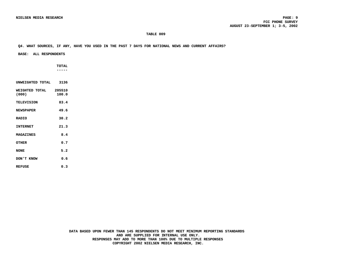#### **Q4. WHAT SOURCES, IF ANY, HAVE YOU USED IN THE PAST 7 DAYS FOR NATIONAL NEWS AND CURRENT AFFAIRS?**

#### **BASE: ALL RESPONDENTS**

 **TOTAL -----**

**UNWEIGHTED TOTAL 3136 WEIGHTED TOTAL 205510**<br>(000) 100.0 **(000) 100.0 TELEVISION 83.4 NEWSPAPER 49.6 RADIO 30.2 INTERNET 21.3 MAGAZINES 8.4 OTHER 0.7 NONE 5.2 DON'T KNOW 0.6 REFUSE 0.3**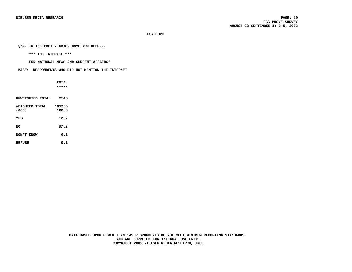**Q5A. IN THE PAST 7 DAYS, HAVE YOU USED...**

 **\*\*\* THE INTERNET \*\*\***

 **FOR NATIONAL NEWS AND CURRENT AFFAIRS?**

 **BASE: RESPONDENTS WHO DID NOT MENTION THE INTERNET**

 **TOTAL -----**

| UNWEIGHTED TOTAL        | 2543            |
|-------------------------|-----------------|
| WEIGHTED TOTAL<br>(000) | 161955<br>100.0 |
| YES                     | 12.7            |
| NO                      | 87.2            |
| DON'T KNOW              | 0.1             |
| <b>REFUSE</b>           | 0.1             |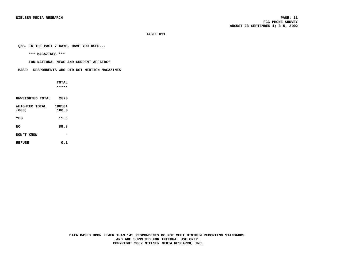**Q5B. IN THE PAST 7 DAYS, HAVE YOU USED...**

 **\*\*\* MAGAZINES \*\*\***

 **FOR NATIONAL NEWS AND CURRENT AFFAIRS?**

 **BASE: RESPONDENTS WHO DID NOT MENTION MAGAZINES**

 **TOTAL -----**

| UNWEIGHTED TOTAL        | 2870            |
|-------------------------|-----------------|
| WEIGHTED TOTAL<br>(000) | 188501<br>100.0 |
| YES                     | 11.6            |
| NΟ                      | 88.3            |
| DON'T KNOW              |                 |
| <b>REFUSE</b>           | 0.1             |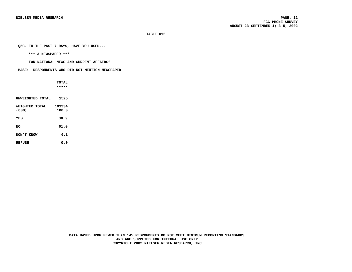**Q5C. IN THE PAST 7 DAYS, HAVE YOU USED...**

 **\*\*\* A NEWSPAPER \*\*\***

 **FOR NATIONAL NEWS AND CURRENT AFFAIRS?**

 **BASE: RESPONDENTS WHO DID NOT MENTION NEWSPAPER**

 **TOTAL -----**

| INWETCHTED TOTAL        | 1525            |
|-------------------------|-----------------|
| WEIGHTED TOTAL<br>(000) | 103934<br>100.0 |
| YES                     | 38.9            |
| NO                      | 61.0            |
| DON'T KNOW              | 0.1             |
| <b>REFUSE</b>           | 0.O             |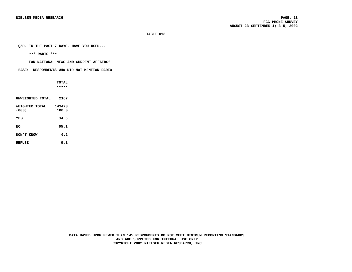**Q5D. IN THE PAST 7 DAYS, HAVE YOU USED...**

 **\*\*\* RADIO \*\*\***

 **FOR NATIONAL NEWS AND CURRENT AFFAIRS?**

 **BASE: RESPONDENTS WHO DID NOT MENTION RADIO**

 **TOTAL -----**

| INWETCHTED TOTAL        | 2167            |
|-------------------------|-----------------|
| WEIGHTED TOTAL<br>(000) | 143473<br>100.0 |
| YES                     | 34.6            |
| NΟ                      | 65.1            |
| <b>EXNOW</b> T          | 0.2             |
| <b>REFUSE</b>           | 0.1             |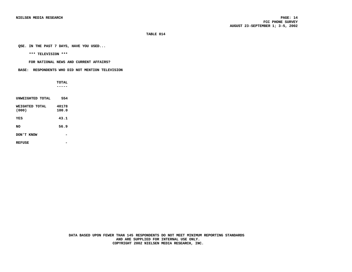**Q5E. IN THE PAST 7 DAYS, HAVE YOU USED...**

 **\*\*\* TELEVISION \*\*\***

 **FOR NATIONAL NEWS AND CURRENT AFFAIRS?**

 **BASE: RESPONDENTS WHO DID NOT MENTION TELEVISION**

 **TOTAL -----**

| UNWEIGHTED TOTAL        | 554            |
|-------------------------|----------------|
| WEIGHTED TOTAL<br>(000) | 40178<br>100.0 |
| YES                     | 43.1           |
| NΟ                      | 56.9           |
| DON'T KNOW              |                |
| <b>REFUSE</b>           |                |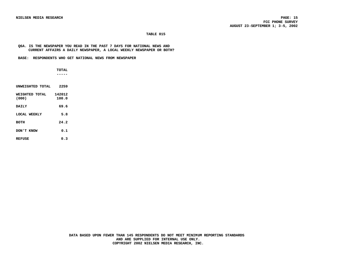#### **Q6A. IS THE NEWSPAPER YOU READ IN THE PAST 7 DAYS FOR NATIONAL NEWS AND CURRENT AFFAIRS A DAILY NEWSPAPER, A LOCAL WEEKLY NEWSPAPER OR BOTH?**

 **BASE: RESPONDENTS WHO GET NATIONAL NEWS FROM NEWSPAPER**

 **TOTAL -----**

| INWETGHTED TOTAL        | 2259            |
|-------------------------|-----------------|
| WEIGHTED TOTAL<br>(000) | 142012<br>100.0 |
| <b>DATT.Y</b>           | 69.6            |
| LOCAL WEEKLY            | 5.8             |
| <b>BOTH</b>             | 24.2            |
| <b>DON'T KNOW</b>       | 0.1             |
| <b>REFUSE</b>           | 0.3             |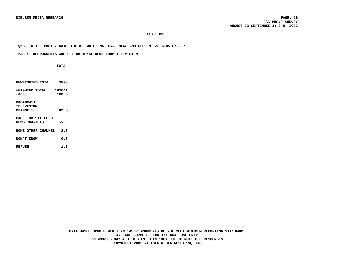#### **Q6B. IN THE PAST 7 DAYS DID YOU WATCH NATIONAL NEWS AND CURRENT AFFAIRS ON...?**

#### **BASE: RESPONDENTS WHO GET NATIONAL NEWS FROM TELEVISION**

 **TOTAL**

 **-----**

| UNWEIGHTED TOTAL                           | 2828            |
|--------------------------------------------|-----------------|
| WETCHTED TOTAL<br>(000)                    | 182641<br>100.0 |
| <b>BROADCAST</b>                           |                 |
| <b>TELEVISION</b>                          |                 |
| <b>CHANNELS</b>                            | 62.8            |
| CABLE OR SATELLITE<br><b>NEWS CHANNELS</b> | 65.5            |
| SOME OTHER CHANNEL                         | 2.6             |
| <b>EXNOW</b> T                             | ი.              |
| <b>REFUSE</b>                              | 1.5             |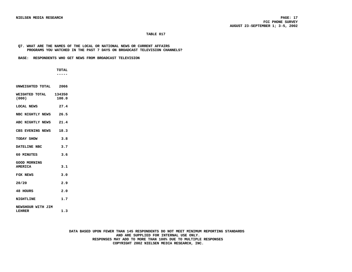#### **Q7. WHAT ARE THE NAMES OF THE LOCAL OR NATIONAL NEWS OR CURRENT AFFAIRS PROGRAMS YOU WATCHED IN THE PAST 7 DAYS ON BROADCAST TELEVISION CHANNELS?**

 **BASE: RESPONDENTS WHO GET NEWS FROM BROADCAST TELEVISION**

 **----- UNWEIGHTED TOTAL 2066**

 **TOTAL**

| WEIGHTED TOTAL 134350<br>(000)        | 100.0 |
|---------------------------------------|-------|
| <b>LOCAL NEWS</b>                     | 27.4  |
| NBC NIGHTLY NEWS 26.5                 |       |
| ABC NIGHTLY NEWS 21.4                 |       |
| CBS EVENING NEWS 18.3                 |       |
| TODAY SHOW                            | 3.8   |
| DATELINE NBC                          | 3.7   |
| 60 MINUTES                            | 3.6   |
| <b>GOOD MORNING</b><br><b>AMERTCA</b> | 3.1   |
| FOX NEWS                              | 3.0   |
| 20/20                                 | 2.9   |
| 48 HOURS                              | 2.0   |
| <b>NIGHTLINE</b>                      | 1.7   |
| NEWSHOUR WITH JIM<br>LEHRER           | 1.3   |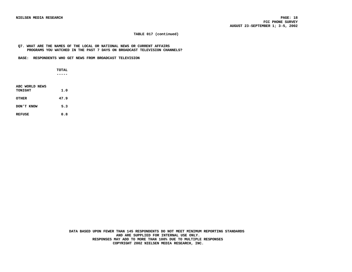#### **TABLE 017 (continued)**

#### **Q7. WHAT ARE THE NAMES OF THE LOCAL OR NATIONAL NEWS OR CURRENT AFFAIRS PROGRAMS YOU WATCHED IN THE PAST 7 DAYS ON BROADCAST TELEVISION CHANNELS?**

 **BASE: RESPONDENTS WHO GET NEWS FROM BROADCAST TELEVISION**

 **TOTAL -----**

| ABC WORLD NEWS<br>TONICHT | 1.0  |  |
|---------------------------|------|--|
| <b>OTHER</b>              | 47.9 |  |
| DON'T KNOW                | 5.3  |  |
| <b>REFUSE</b>             | 0.8  |  |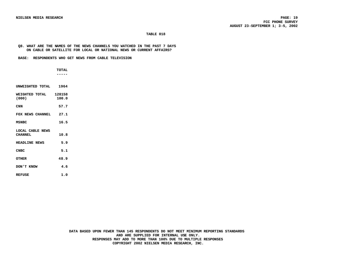#### **Q8. WHAT ARE THE NAMES OF THE NEWS CHANNELS YOU WATCHED IN THE PAST 7 DAYS ON CABLE OR SATELLITE FOR LOCAL OR NATIONAL NEWS OR CURRENT AFFAIRS?**

 **BASE: RESPONDENTS WHO GET NEWS FROM CABLE TELEVISION**

| <b>TOTAL</b> |
|--------------|
| -----        |

| UNWEIGHTED TOTAL 1964              |       |
|------------------------------------|-------|
| WEIGHTED TOTAL 128158<br>(000)     | 100.0 |
| CNN                                | 57.7  |
| FOX NEWS CHANNEL                   | 27.1  |
| MSNBC                              | 16.5  |
| LOCAL CABLE NEWS<br><b>CHANNEL</b> | 10.8  |
| <b>HEADLINE NEWS</b>               | 5.9   |
| <b>CNBC</b>                        | 5.1   |
| <b>OTHER</b>                       | 48.9  |
| DON'T KNOW                         | 4.6   |
| <b>REFUSE</b>                      | 1.0   |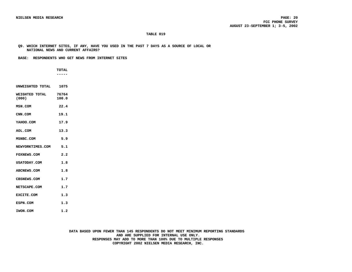**Q9. WHICH INTERNET SITES, IF ANY, HAVE YOU USED IN THE PAST 7 DAYS AS A SOURCE OF LOCAL OR NATIONAL NEWS AND CURRENT AFFAIRS?**

 **BASE: RESPONDENTS WHO GET NEWS FROM INTERNET SITES**

 **TOTAL -----**

**UNWEIGHTED TOTAL 1075**

| WEIGHTED TOTAL 76764<br>(000) | 100.0 |
|-------------------------------|-------|
| MSN.COM                       | 22.4  |
| CNN.COM                       | 19.1  |
| YAHOO.COM                     | 17.9  |
| AOL.COM                       | 13.3  |
| MSNBC.COM                     | 5.9   |
| <b>NEWYORKTIMES.COM</b>       | 5.1   |
| <b>FOXNEWS.COM</b>            | 2.2   |
| <b>USATODAY.COM</b>           | 1.8   |
| <b>ABCNEWS.COM</b>            | 1.8   |
| <b>CBSNEWS.COM</b>            | 1.7   |
| NETSCAPE.COM                  | 1.7   |
| <b>EXCITE.COM</b>             | 1.3   |
| <b>ESPN.COM</b>               | 1.3   |
| IWON.COM                      | 1.2   |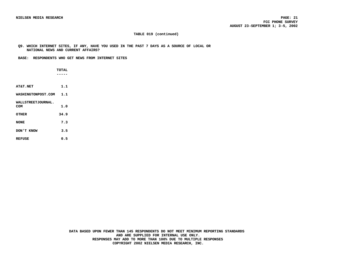#### **TABLE 019 (continued)**

 **Q9. WHICH INTERNET SITES, IF ANY, HAVE YOU USED IN THE PAST 7 DAYS AS A SOURCE OF LOCAL OR NATIONAL NEWS AND CURRENT AFFAIRS?**

 **BASE: RESPONDENTS WHO GET NEWS FROM INTERNET SITES**

|                        | <b>TOTAL</b> |  |
|------------------------|--------------|--|
|                        |              |  |
|                        |              |  |
| <b>AT&amp;T.NET</b>    | 1.1          |  |
| WASHINGTONPOST.COM 1.1 |              |  |
| WALLSTREETJOURNAL.     |              |  |
| COM                    | 1.0          |  |
| OTHER                  | 34.9         |  |
| <b>NONE</b>            | 7.3          |  |
| DON'T KNOW             | 3.5          |  |
| REFUSE                 | 0.5          |  |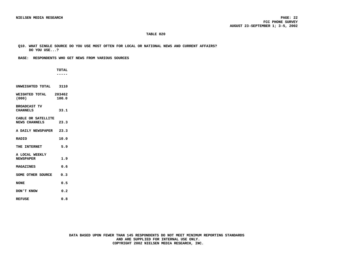**Q10. WHAT SINGLE SOURCE DO YOU USE MOST OFTEN FOR LOCAL OR NATIONAL NEWS AND CURRENT AFFAIRS? DO YOU USE...?**

 **BASE: RESPONDENTS WHO GET NEWS FROM VARIOUS SOURCES**

|                                            | <b>TOTAL</b> |  |
|--------------------------------------------|--------------|--|
|                                            |              |  |
|                                            |              |  |
| UNWEIGHTED TOTAL 3110                      |              |  |
| WEIGHTED TOTAL 203462<br>(000)             | 100.0        |  |
| <b>BROADCAST TV</b><br><b>CHANNELS</b>     | 33.1         |  |
| CABLE OR SATELLITE<br><b>NEWS CHANNELS</b> | 23.3         |  |
| A DAILY NEWSPAPER 23.3                     |              |  |
| <b>RADIO</b>                               | 10.0         |  |
| THE INTERNET                               | 5.9          |  |
| A LOCAL WEEKLY<br><b>NEWSPAPER</b>         | 1.9          |  |
| <b>MAGAZINES</b>                           | 0.6          |  |
| SOME OTHER SOURCE                          | 0.3          |  |
| <b>NONE</b>                                | 0.5          |  |
| DON'T KNOW                                 | 0.2          |  |
| <b>REFUSE</b>                              | 0.8          |  |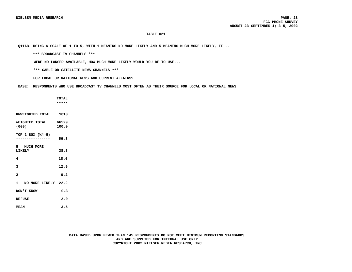**Q11AB. USING A SCALE OF 1 TO 5, WITH 1 MEANING NO MORE LIKELY AND 5 MEANING MUCH MORE LIKELY, IF...**

 **\*\*\* BROADCAST TV CHANNELS \*\*\***

 **WERE NO LONGER AVAILABLE, HOW MUCH MORE LIKELY WOULD YOU BE TO USE...**

 **\*\*\* CABLE OR SATELLITE NEWS CHANNELS \*\*\***

 **FOR LOCAL OR NATIONAL NEWS AND CURRENT AFFAIRS?**

 **BASE: RESPONDENTS WHO USE BROADCAST TV CHANNELS MOST OFTEN AS THEIR SOURCE FOR LOCAL OR NATIONAL NEWS**

 **TOTAL -----**

**UNWEIGHTED TOTAL 1018 WEIGHTED TOTAL 66529**<br>(000) 100.0 **(000) 100.0 TOP 2 BOX (%4-5) ---------------- 56.3 5 MUCH MORE LIKELY 38.3 4 18.0 3 12.9 2 6.2 1 NO MORE LIKELY 22.2 DON'T KNOW 0.3 REFUSE 2.0**

**MEAN 3.5**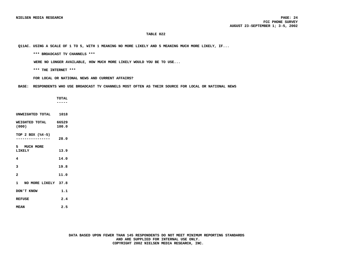**Q11AC. USING A SCALE OF 1 TO 5, WITH 1 MEANING NO MORE LIKELY AND 5 MEANING MUCH MORE LIKELY, IF...**

 **\*\*\* BROADCAST TV CHANNELS \*\*\***

 **WERE NO LONGER AVAILABLE, HOW MUCH MORE LIKELY WOULD YOU BE TO USE...**

 **\*\*\* THE INTERNET \*\*\***

 **FOR LOCAL OR NATIONAL NEWS AND CURRENT AFFAIRS?**

 **BASE: RESPONDENTS WHO USE BROADCAST TV CHANNELS MOST OFTEN AS THEIR SOURCE FOR LOCAL OR NATIONAL NEWS**

|                               | <b>TOTAL</b> |
|-------------------------------|--------------|
|                               | .            |
|                               |              |
| UNWEIGHTED TOTAL 1018         |              |
| WEIGHTED TOTAL 66529<br>(000) | 100.0        |
|                               |              |
| TOP 2 BOX (%4-5)              |              |
|                               | 28.0         |
|                               |              |
| 5 MUCH MORE<br>LIKELY         | 13.9         |
|                               |              |
| 4                             | 14.0         |
| 3                             | 19.8         |
| $\overline{a}$                | 11.0         |
|                               |              |
| 1 NO MORE LIKELY 37.8         |              |
| DON'T KNOW                    | 1.1          |
| <b>REFUSE</b>                 | 2.4          |
| <b>MEAN</b>                   | 2.5          |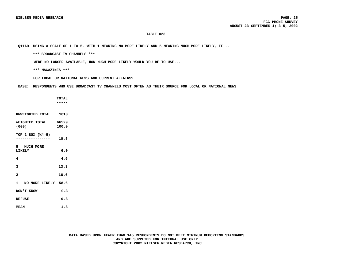**Q11AD. USING A SCALE OF 1 TO 5, WITH 1 MEANING NO MORE LIKELY AND 5 MEANING MUCH MORE LIKELY, IF...**

 **\*\*\* BROADCAST TV CHANNELS \*\*\***

 **WERE NO LONGER AVAILABLE, HOW MUCH MORE LIKELY WOULD YOU BE TO USE...**

 **\*\*\* MAGAZINES \*\*\***

 **FOR LOCAL OR NATIONAL NEWS AND CURRENT AFFAIRS?**

 **BASE: RESPONDENTS WHO USE BROADCAST TV CHANNELS MOST OFTEN AS THEIR SOURCE FOR LOCAL OR NATIONAL NEWS**

 **TOTAL ----- UNWEIGHTED TOTAL 1018 WEIGHTED TOTAL 66529**<br>(000) 100.0 **(000) 100.0 TOP 2 BOX (%4-5) ---------------- 10.5 5 MUCH MORE LIKELY 6.0 4 4.6 3 13.3 2 16.6 1 NO MORE LIKELY 58.6 DON'T KNOW 0.3 REFUSE 0.8 MEAN 1.8**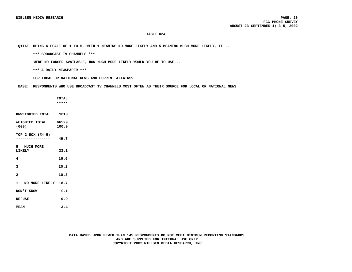**Q11AE. USING A SCALE OF 1 TO 5, WITH 1 MEANING NO MORE LIKELY AND 5 MEANING MUCH MORE LIKELY, IF...**

 **\*\*\* BROADCAST TV CHANNELS \*\*\***

 **WERE NO LONGER AVAILABLE, HOW MUCH MORE LIKELY WOULD YOU BE TO USE...**

 **\*\*\* A DAILY NEWSPAPER \*\*\***

 **FOR LOCAL OR NATIONAL NEWS AND CURRENT AFFAIRS?**

 **BASE: RESPONDENTS WHO USE BROADCAST TV CHANNELS MOST OFTEN AS THEIR SOURCE FOR LOCAL OR NATIONAL NEWS**

|                               | <b>TOTAL</b> |
|-------------------------------|--------------|
|                               |              |
| UNWEIGHTED TOTAL 1018         |              |
| WEIGHTED TOTAL 66529<br>(000) | 100.0        |
| TOP 2 BOX (%4-5)              | 49.7         |
| 5 MUCH MORE<br>LIKELY         | 33.1         |
| 4                             | 16.6         |
| 3                             | 20.2         |
| $\overline{a}$                | 10.3         |
| 1 NO MORE LIKELY 18.7         |              |
| DON'T KNOW                    | 0.1          |
| REFUSE                        | 0.9          |
| <b>MEAN</b>                   | 3.4          |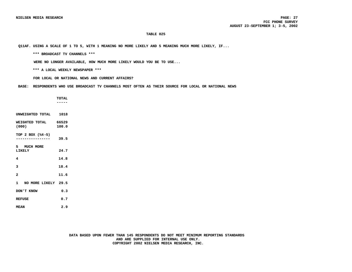**Q11AF. USING A SCALE OF 1 TO 5, WITH 1 MEANING NO MORE LIKELY AND 5 MEANING MUCH MORE LIKELY, IF...**

 **\*\*\* BROADCAST TV CHANNELS \*\*\***

 **WERE NO LONGER AVAILABLE, HOW MUCH MORE LIKELY WOULD YOU BE TO USE...**

 **\*\*\* A LOCAL WEEKLY NEWSPAPER \*\*\***

 **FOR LOCAL OR NATIONAL NEWS AND CURRENT AFFAIRS?**

 **BASE: RESPONDENTS WHO USE BROADCAST TV CHANNELS MOST OFTEN AS THEIR SOURCE FOR LOCAL OR NATIONAL NEWS**

 **TOTAL ----- UNWEIGHTED TOTAL 1018 WEIGHTED TOTAL 66529**<br>(000) 100.0 **(000) 100.0 TOP 2 BOX (%4-5) ---------------- 39.5 5 MUCH MORE LIKELY 24.7 4 14.8 3 18.4 2 11.6 1 NO MORE LIKELY 29.5 DON'T KNOW 0.3 REFUSE 0.7 MEAN 2.9**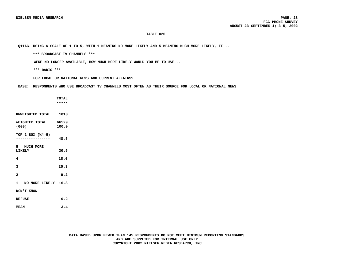**Q11AG. USING A SCALE OF 1 TO 5, WITH 1 MEANING NO MORE LIKELY AND 5 MEANING MUCH MORE LIKELY, IF...**

 **\*\*\* BROADCAST TV CHANNELS \*\*\***

 **WERE NO LONGER AVAILABLE, HOW MUCH MORE LIKELY WOULD YOU BE TO USE...**

 **\*\*\* RADIO \*\*\***

 **FOR LOCAL OR NATIONAL NEWS AND CURRENT AFFAIRS?**

 **BASE: RESPONDENTS WHO USE BROADCAST TV CHANNELS MOST OFTEN AS THEIR SOURCE FOR LOCAL OR NATIONAL NEWS**

 **TOTAL ----- UNWEIGHTED TOTAL 1018 WEIGHTED TOTAL 66529**<br>(000) 100.0 **(000) 100.0 TOP 2 BOX (%4-5) ---------------- 48.5 5 MUCH MORE LIKELY 30.5 4 18.0 3 25.3 2 9.2 1 NO MORE LIKELY 16.8 DON'T KNOW - REFUSE 0.2 MEAN 3.4**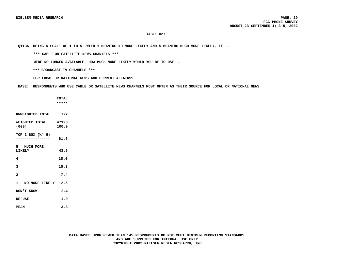**Q11BA. USING A SCALE OF 1 TO 5, WITH 1 MEANING NO MORE LIKELY AND 5 MEANING MUCH MORE LIKELY, IF...**

 **\*\*\* CABLE OR SATELLITE NEWS CHANNELS \*\*\***

 **WERE NO LONGER AVAILABLE, HOW MUCH MORE LIKELY WOULD YOU BE TO USE...**

 **\*\*\* BROADCAST TV CHANNELS \*\*\***

 **FOR LOCAL OR NATIONAL NEWS AND CURRENT AFFAIRS?**

 **BASE: RESPONDENTS WHO USE CABLE OR SATELLITE NEWS CHANNELS MOST OFTEN AS THEIR SOURCE FOR LOCAL OR NATIONAL NEWS**

 **TOTAL -----**

**UNWEIGHTED TOTAL 727 WEIGHTED TOTAL 47120**<br>(000) 100.0 **(000) 100.0 TOP 2 BOX (%4-5) ---------------- 61.5 5 MUCH MORE LIKELY 43.5 4 18.0 3 15.3 2 7.4 1 NO MORE LIKELY 12.5 DON'T KNOW 2.4 REFUSE 1.0 MEAN 3.8**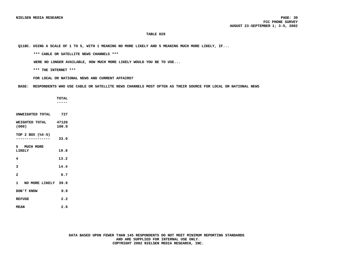**Q11BC. USING A SCALE OF 1 TO 5, WITH 1 MEANING NO MORE LIKELY AND 5 MEANING MUCH MORE LIKELY, IF...**

 **\*\*\* CABLE OR SATELLITE NEWS CHANNELS \*\*\***

 **WERE NO LONGER AVAILABLE, HOW MUCH MORE LIKELY WOULD YOU BE TO USE...**

 **\*\*\* THE INTERNET \*\*\***

 **FOR LOCAL OR NATIONAL NEWS AND CURRENT AFFAIRS?**

 **BASE: RESPONDENTS WHO USE CABLE OR SATELLITE NEWS CHANNELS MOST OFTEN AS THEIR SOURCE FOR LOCAL OR NATIONAL NEWS**

 **TOTAL ----- UNWEIGHTED TOTAL 727 WEIGHTED TOTAL 47120**<br>(000) 100.0 **(000) 100.0 TOP 2 BOX (%4-5) ---------------- 33.0 5 MUCH MORE LIKELY 19.8 4 13.2 3 14.4 2 9.7 1 NO MORE LIKELY 39.9 DON'T KNOW 0.9 REFUSE 2.2 MEAN 2.6**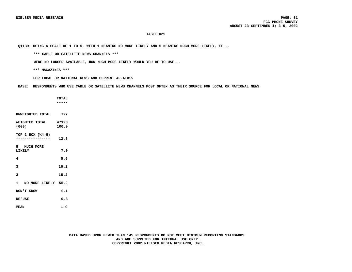**Q11BD. USING A SCALE OF 1 TO 5, WITH 1 MEANING NO MORE LIKELY AND 5 MEANING MUCH MORE LIKELY, IF...**

 **\*\*\* CABLE OR SATELLITE NEWS CHANNELS \*\*\***

 **WERE NO LONGER AVAILABLE, HOW MUCH MORE LIKELY WOULD YOU BE TO USE...**

 **\*\*\* MAGAZINES \*\*\***

 **FOR LOCAL OR NATIONAL NEWS AND CURRENT AFFAIRS?**

 **BASE: RESPONDENTS WHO USE CABLE OR SATELLITE NEWS CHANNELS MOST OFTEN AS THEIR SOURCE FOR LOCAL OR NATIONAL NEWS**

|                       | <b>TOTAL</b> |
|-----------------------|--------------|
|                       |              |
|                       |              |
| UNWEIGHTED TOTAL 727  |              |
| WEIGHTED TOTAL 47120  |              |
| (000)                 | 100.0        |
| TOP 2 BOX (%4-5)      |              |
|                       | 12.5         |
| 5 MUCH MORE           |              |
| LIKELY                | 7.0          |
| 4                     | 5.6          |
|                       |              |
| 3                     | 16.2         |
| $\overline{a}$        | 15.2         |
|                       |              |
| 1 NO MORE LIKELY 55.2 |              |
| DON'T KNOW            | 0.1          |
| <b>REFUSE</b>         | 0.8          |
| <b>MEAN</b>           | 1.9          |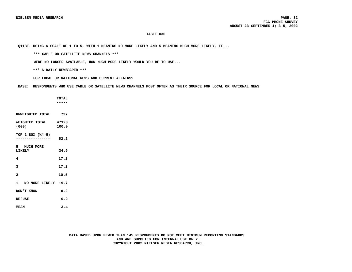**Q11BE. USING A SCALE OF 1 TO 5, WITH 1 MEANING NO MORE LIKELY AND 5 MEANING MUCH MORE LIKELY, IF...**

 **\*\*\* CABLE OR SATELLITE NEWS CHANNELS \*\*\***

 **WERE NO LONGER AVAILABLE, HOW MUCH MORE LIKELY WOULD YOU BE TO USE...**

 **\*\*\* A DAILY NEWSPAPER \*\*\***

 **FOR LOCAL OR NATIONAL NEWS AND CURRENT AFFAIRS?**

 **BASE: RESPONDENTS WHO USE CABLE OR SATELLITE NEWS CHANNELS MOST OFTEN AS THEIR SOURCE FOR LOCAL OR NATIONAL NEWS**

 **TOTAL ----- UNWEIGHTED TOTAL 727 WEIGHTED TOTAL 47120**<br>(000) 100.0 **(000) 100.0 TOP 2 BOX (%4-5) ---------------- 52.2 5 MUCH MORE LIKELY 34.9 4 17.2 3 17.2 2 10.5 1 NO MORE LIKELY 19.7 DON'T KNOW 0.2 REFUSE 0.2 MEAN 3.4**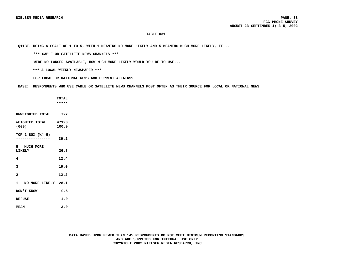**Q11BF. USING A SCALE OF 1 TO 5, WITH 1 MEANING NO MORE LIKELY AND 5 MEANING MUCH MORE LIKELY, IF...**

 **\*\*\* CABLE OR SATELLITE NEWS CHANNELS \*\*\***

 **WERE NO LONGER AVAILABLE, HOW MUCH MORE LIKELY WOULD YOU BE TO USE...**

 **\*\*\* A LOCAL WEEKLY NEWSPAPER \*\*\***

 **FOR LOCAL OR NATIONAL NEWS AND CURRENT AFFAIRS?**

 **BASE: RESPONDENTS WHO USE CABLE OR SATELLITE NEWS CHANNELS MOST OFTEN AS THEIR SOURCE FOR LOCAL OR NATIONAL NEWS**

 **-----**

 **TOTAL**

**WEIGHTED TOTAL 47120**<br>(000) 100.0 **(000) 100.0 TOP 2 BOX (%4-5) ---------------- 39.2 5 MUCH MORE LIKELY 26.8 4 12.4 3 19.0 2 12.2 1 NO MORE LIKELY 28.1**

**UNWEIGHTED TOTAL 727**

**DON'T KNOW 0.5 REFUSE 1.0**

**MEAN 3.0**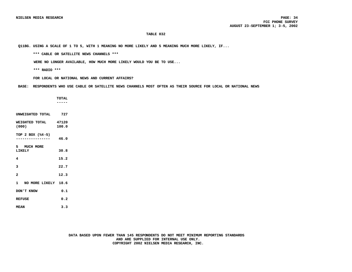**Q11BG. USING A SCALE OF 1 TO 5, WITH 1 MEANING NO MORE LIKELY AND 5 MEANING MUCH MORE LIKELY, IF...**

 **\*\*\* CABLE OR SATELLITE NEWS CHANNELS \*\*\***

 **WERE NO LONGER AVAILABLE, HOW MUCH MORE LIKELY WOULD YOU BE TO USE...**

 **\*\*\* RADIO \*\*\***

 **FOR LOCAL OR NATIONAL NEWS AND CURRENT AFFAIRS?**

 **BASE: RESPONDENTS WHO USE CABLE OR SATELLITE NEWS CHANNELS MOST OFTEN AS THEIR SOURCE FOR LOCAL OR NATIONAL NEWS**

 **TOTAL ----- UNWEIGHTED TOTAL 727 WEIGHTED TOTAL 47120**<br>(000) 100.0 **(000) 100.0 TOP 2 BOX (%4-5) ---------------- 46.0 5 MUCH MORE LIKELY 30.8 4 15.2 3 22.7 2 12.3 1 NO MORE LIKELY 18.6 DON'T KNOW 0.1 REFUSE 0.2 MEAN 3.3**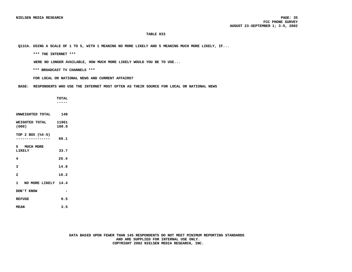**Q11CA. USING A SCALE OF 1 TO 5, WITH 1 MEANING NO MORE LIKELY AND 5 MEANING MUCH MORE LIKELY, IF...**

 **\*\*\* THE INTERNET \*\*\***

 **WERE NO LONGER AVAILABLE, HOW MUCH MORE LIKELY WOULD YOU BE TO USE...**

 **\*\*\* BROADCAST TV CHANNELS \*\*\***

 **FOR LOCAL OR NATIONAL NEWS AND CURRENT AFFAIRS?**

 **BASE: RESPONDENTS WHO USE THE INTERNET MOST OFTEN AS THEIR SOURCE FOR LOCAL OR NATIONAL NEWS**

 **TOTAL -----**

**WEIGHTED TOTAL 11961**<br>(000) 100.0 **(000) 100.0 TOP 2 BOX (%4-5) ---------------- 60.1**

**UNWEIGHTED TOTAL 148**

**5 MUCH MORE LIKELY 33.7 4 26.4 3 14.8 2 10.2 1 NO MORE LIKELY 14.4 DON'T KNOW - REFUSE 0.5**

**MEAN 3.5**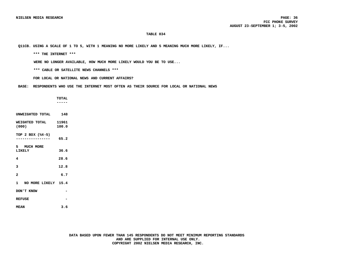**Q11CB. USING A SCALE OF 1 TO 5, WITH 1 MEANING NO MORE LIKELY AND 5 MEANING MUCH MORE LIKELY, IF...**

 **\*\*\* THE INTERNET \*\*\***

 **WERE NO LONGER AVAILABLE, HOW MUCH MORE LIKELY WOULD YOU BE TO USE...**

 **\*\*\* CABLE OR SATELLITE NEWS CHANNELS \*\*\***

 **FOR LOCAL OR NATIONAL NEWS AND CURRENT AFFAIRS?**

 **BASE: RESPONDENTS WHO USE THE INTERNET MOST OFTEN AS THEIR SOURCE FOR LOCAL OR NATIONAL NEWS**

 **TOTAL -----**

**WEIGHTED TOTAL 11961**<br>(000) 100.0 **(000) 100.0 TOP 2 BOX (%4-5) ---------------- 65.2 5 MUCH MORE LIKELY 36.6 4 28.6**

**UNWEIGHTED TOTAL 148**

- **3 12.8 2 6.7**
- **1 NO MORE LIKELY 15.4 DON'T KNOW -**
- **REFUSE -**
- **MEAN 3.6**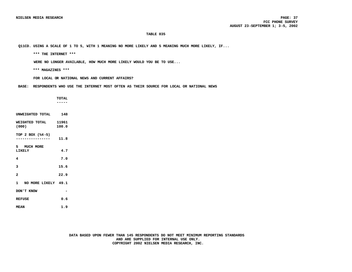**Q11CD. USING A SCALE OF 1 TO 5, WITH 1 MEANING NO MORE LIKELY AND 5 MEANING MUCH MORE LIKELY, IF...**

 **\*\*\* THE INTERNET \*\*\***

 **WERE NO LONGER AVAILABLE, HOW MUCH MORE LIKELY WOULD YOU BE TO USE...**

 **\*\*\* MAGAZINES \*\*\***

 **FOR LOCAL OR NATIONAL NEWS AND CURRENT AFFAIRS?**

 **BASE: RESPONDENTS WHO USE THE INTERNET MOST OFTEN AS THEIR SOURCE FOR LOCAL OR NATIONAL NEWS**

|                       | <b>TOTAL</b> |  |
|-----------------------|--------------|--|
|                       |              |  |
|                       |              |  |
| UNWEIGHTED TOTAL      | 148          |  |
| WEIGHTED TOTAL 11961  |              |  |
| (000)                 | 100.0        |  |
| TOP 2 BOX (%4-5)      |              |  |
|                       | 11.8         |  |
| 5 MUCH MORE           |              |  |
| LIKELY                | 4.7          |  |
| 4                     | 7.0          |  |
|                       |              |  |
| 3                     | 15.6         |  |
| $\overline{a}$        | 22.9         |  |
|                       |              |  |
| 1 NO MORE LIKELY 49.1 |              |  |
| DON'T KNOW            |              |  |
| <b>REFUSE</b>         | 0.6          |  |
|                       |              |  |

**MEAN 1.9**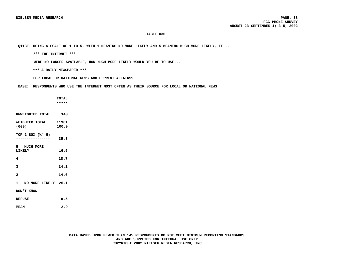**Q11CE. USING A SCALE OF 1 TO 5, WITH 1 MEANING NO MORE LIKELY AND 5 MEANING MUCH MORE LIKELY, IF...**

 **\*\*\* THE INTERNET \*\*\***

 **WERE NO LONGER AVAILABLE, HOW MUCH MORE LIKELY WOULD YOU BE TO USE...**

 **\*\*\* A DAILY NEWSPAPER \*\*\***

 **FOR LOCAL OR NATIONAL NEWS AND CURRENT AFFAIRS?**

 **BASE: RESPONDENTS WHO USE THE INTERNET MOST OFTEN AS THEIR SOURCE FOR LOCAL OR NATIONAL NEWS**

 **TOTAL ----- UNWEIGHTED TOTAL 148 WEIGHTED TOTAL 11961**<br>(000) 100.0 **(000) 100.0 TOP 2 BOX (%4-5) ---------------- 35.3 5 MUCH MORE LIKELY 16.6 4 18.7 3 24.1 2 14.0 1 NO MORE LIKELY 26.1 DON'T KNOW - REFUSE 0.5 MEAN 2.9**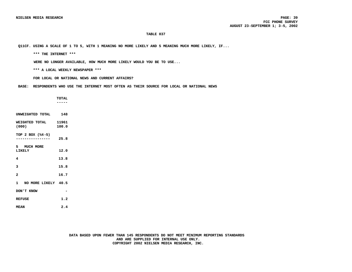**Q11CF. USING A SCALE OF 1 TO 5, WITH 1 MEANING NO MORE LIKELY AND 5 MEANING MUCH MORE LIKELY, IF...**

 **\*\*\* THE INTERNET \*\*\***

 **WERE NO LONGER AVAILABLE, HOW MUCH MORE LIKELY WOULD YOU BE TO USE...**

 **\*\*\* A LOCAL WEEKLY NEWSPAPER \*\*\***

 **FOR LOCAL OR NATIONAL NEWS AND CURRENT AFFAIRS?**

 **BASE: RESPONDENTS WHO USE THE INTERNET MOST OFTEN AS THEIR SOURCE FOR LOCAL OR NATIONAL NEWS**

 **TOTAL -----**

| UNWEIGHTED TOTAL                                    | 148            |
|-----------------------------------------------------|----------------|
| WEIGHTED TOTAL<br>(000)                             | 11961<br>100.0 |
| TOP 2 BOX (%4-5)<br>. _ _ _ _ _ _ _ _ _ _ _ _ _ _ _ | 25.8           |
| 5 MUCH MORE<br><b>LIKELY</b>                        | 12.0           |
| 4                                                   | 13.8           |
| 3                                                   | 15.8           |
| $\overline{a}$                                      | 16.7           |
| 1 NO MORE LIKELY 40.5                               |                |
| DON'T KNOW                                          |                |
| <b>REFUSE</b>                                       | 1.2            |
| <b>MEAN</b>                                         | 2.4            |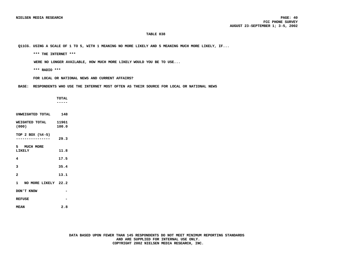**Q11CG. USING A SCALE OF 1 TO 5, WITH 1 MEANING NO MORE LIKELY AND 5 MEANING MUCH MORE LIKELY, IF...**

 **\*\*\* THE INTERNET \*\*\***

 **WERE NO LONGER AVAILABLE, HOW MUCH MORE LIKELY WOULD YOU BE TO USE...**

 **\*\*\* RADIO \*\*\***

 **FOR LOCAL OR NATIONAL NEWS AND CURRENT AFFAIRS?**

 **BASE: RESPONDENTS WHO USE THE INTERNET MOST OFTEN AS THEIR SOURCE FOR LOCAL OR NATIONAL NEWS**

 **TOTAL ----- UNWEIGHTED TOTAL 148 WEIGHTED TOTAL 11961**<br>(000) 100.0 **(000) 100.0 TOP 2 BOX (%4-5) ---------------- 29.3 5 MUCH MORE LIKELY 11.8 4 17.5 3 35.4 2 13.1 1 NO MORE LIKELY 22.2 DON'T KNOW - REFUSE - MEAN 2.8**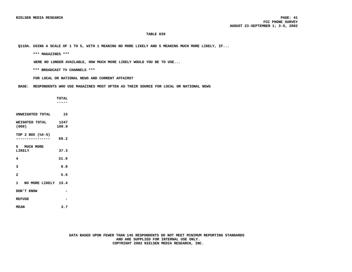**Q11DA. USING A SCALE OF 1 TO 5, WITH 1 MEANING NO MORE LIKELY AND 5 MEANING MUCH MORE LIKELY, IF...**

 **\*\*\* MAGAZINES \*\*\***

 **WERE NO LONGER AVAILABLE, HOW MUCH MORE LIKELY WOULD YOU BE TO USE...**

 **\*\*\* BROADCAST TV CHANNELS \*\*\***

 **FOR LOCAL OR NATIONAL NEWS AND CURRENT AFFAIRS?**

 **BASE: RESPONDENTS WHO USE MAGAZINES MOST OFTEN AS THEIR SOURCE FOR LOCAL OR NATIONAL NEWS**

 **TOTAL ----- UNWEIGHTED TOTAL 15 WEIGHTED TOTAL 1247**<br>(000) 100.0 **(000) 100.0 TOP 2 BOX (%4-5) ---------------- 69.2 5 MUCH MORE LIKELY 37.3 4 31.9 3 9.8 2 5.6 1 NO MORE LIKELY 15.4 DON'T KNOW - REFUSE - MEAN 3.7**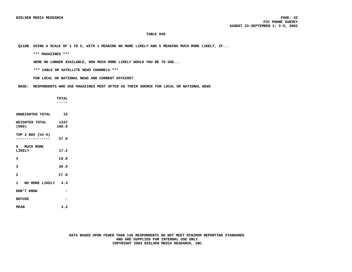**Q11DB. USING A SCALE OF 1 TO 5, WITH 1 MEANING NO MORE LIKELY AND 5 MEANING MUCH MORE LIKELY, IF...**

 **\*\*\* MAGAZINES \*\*\***

 **WERE NO LONGER AVAILABLE, HOW MUCH MORE LIKELY WOULD YOU BE TO USE...**

 **\*\*\* CABLE OR SATELLITE NEWS CHANNELS \*\*\***

 **FOR LOCAL OR NATIONAL NEWS AND CURRENT AFFAIRS?**

 **BASE: RESPONDENTS WHO USE MAGAZINES MOST OFTEN AS THEIR SOURCE FOR LOCAL OR NATIONAL NEWS**

 **TOTAL ----- UNWEIGHTED TOTAL 15 WEIGHTED TOTAL 1247**<br>(000) 100.0 **TOP 2 BOX (%4-5) ---------------- 37.0 5 MUCH MORE LIKELY 17.2 4 19.8**

**3 30.9 2 27.8**

**(000) 100.0**

**1 NO MORE LIKELY 4.4**

**DON'T KNOW - REFUSE -**

**MEAN 3.2**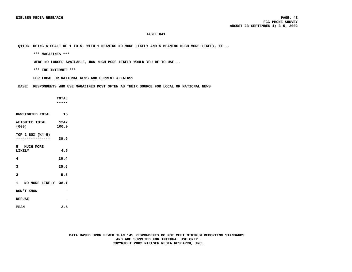**Q11DC. USING A SCALE OF 1 TO 5, WITH 1 MEANING NO MORE LIKELY AND 5 MEANING MUCH MORE LIKELY, IF...**

 **\*\*\* MAGAZINES \*\*\***

 **WERE NO LONGER AVAILABLE, HOW MUCH MORE LIKELY WOULD YOU BE TO USE...**

 **\*\*\* THE INTERNET \*\*\***

 **FOR LOCAL OR NATIONAL NEWS AND CURRENT AFFAIRS?**

 **BASE: RESPONDENTS WHO USE MAGAZINES MOST OFTEN AS THEIR SOURCE FOR LOCAL OR NATIONAL NEWS**

|                                    | <b>TOTAL</b> |  |
|------------------------------------|--------------|--|
|                                    |              |  |
|                                    |              |  |
| UNWEIGHTED TOTAL                   | 15           |  |
| WEIGHTED TOTAL                     | 1247         |  |
| (000)                              | 100.0        |  |
| TOP 2 BOX (%4-5)                   |              |  |
| . <u>- - - - - - - - - - - - -</u> | 30.9         |  |
| 5 MUCH MORE                        |              |  |
| LIKELY                             | 4.5          |  |
| 4                                  | 26.4         |  |
|                                    |              |  |
| 3                                  | 25.6         |  |
| $\overline{a}$                     | 5.5          |  |
|                                    |              |  |
| 1 NO MORE LIKELY 38.1              |              |  |
| DON'T KNOW                         |              |  |
| <b>REFUSE</b>                      |              |  |
|                                    |              |  |
| ٠.                                 | - -          |  |

**MEAN 2.5**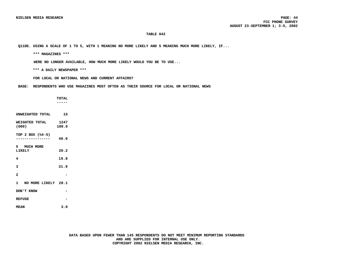**Q11DE. USING A SCALE OF 1 TO 5, WITH 1 MEANING NO MORE LIKELY AND 5 MEANING MUCH MORE LIKELY, IF...**

 **\*\*\* MAGAZINES \*\*\***

 **WERE NO LONGER AVAILABLE, HOW MUCH MORE LIKELY WOULD YOU BE TO USE...**

 **\*\*\* A DAILY NEWSPAPER \*\*\***

 **FOR LOCAL OR NATIONAL NEWS AND CURRENT AFFAIRS?**

 **BASE: RESPONDENTS WHO USE MAGAZINES MOST OFTEN AS THEIR SOURCE FOR LOCAL OR NATIONAL NEWS**

 **TOTAL ----- UNWEIGHTED TOTAL 15 WEIGHTED TOTAL 1247**<br>(000) 100.0 **(000) 100.0 TOP 2 BOX (%4-5) ---------------- 40.0 5 MUCH MORE LIKELY 20.2 4 19.8 3 31.9 2 - 1 NO MORE LIKELY 28.1 DON'T KNOW - REFUSE - MEAN 3.0**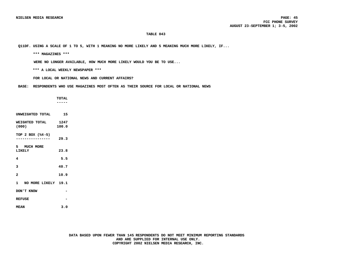**Q11DF. USING A SCALE OF 1 TO 5, WITH 1 MEANING NO MORE LIKELY AND 5 MEANING MUCH MORE LIKELY, IF...**

 **\*\*\* MAGAZINES \*\*\***

 **WERE NO LONGER AVAILABLE, HOW MUCH MORE LIKELY WOULD YOU BE TO USE...**

 **\*\*\* A LOCAL WEEKLY NEWSPAPER \*\*\***

 **FOR LOCAL OR NATIONAL NEWS AND CURRENT AFFAIRS?**

 **BASE: RESPONDENTS WHO USE MAGAZINES MOST OFTEN AS THEIR SOURCE FOR LOCAL OR NATIONAL NEWS**

 **TOTAL ----- UNWEIGHTED TOTAL 15 WEIGHTED TOTAL 1247**<br>(000) 100.0 **(000) 100.0 TOP 2 BOX (%4-5) ---------------- 29.3 5 MUCH MORE LIKELY 23.8 4 5.5 3 40.7 2 10.9 1 NO MORE LIKELY 19.1 DON'T KNOW - REFUSE - MEAN 3.0**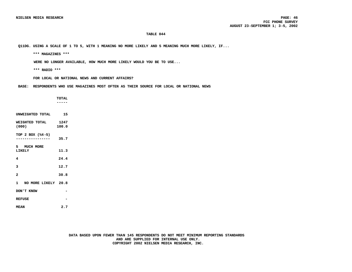**Q11DG. USING A SCALE OF 1 TO 5, WITH 1 MEANING NO MORE LIKELY AND 5 MEANING MUCH MORE LIKELY, IF...**

 **\*\*\* MAGAZINES \*\*\***

 **WERE NO LONGER AVAILABLE, HOW MUCH MORE LIKELY WOULD YOU BE TO USE...**

 **\*\*\* RADIO \*\*\***

 **FOR LOCAL OR NATIONAL NEWS AND CURRENT AFFAIRS?**

 **BASE: RESPONDENTS WHO USE MAGAZINES MOST OFTEN AS THEIR SOURCE FOR LOCAL OR NATIONAL NEWS**

|                         | <b>TOTAL</b>  |
|-------------------------|---------------|
|                         |               |
|                         |               |
| UNWEIGHTED TOTAL        | 15            |
| WEIGHTED TOTAL<br>(000) | 1247<br>100.0 |
| TOP 2 BOX (%4-5)        | 35.7          |
| 5 MUCH MORE<br>LIKELY   | 11.3          |
| 4                       | 24.4          |
| 3                       | 12.7          |
| $\mathbf{z}$            | 30.8          |
| 1 NO MORE LIKELY 20.8   |               |
| DON'T KNOW              |               |
| <b>REFUSE</b>           |               |
|                         |               |

**MEAN 2.7**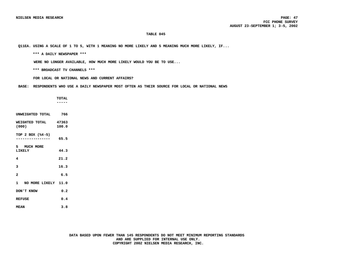**Q11EA. USING A SCALE OF 1 TO 5, WITH 1 MEANING NO MORE LIKELY AND 5 MEANING MUCH MORE LIKELY, IF...**

 **\*\*\* A DAILY NEWSPAPER \*\*\***

 **WERE NO LONGER AVAILABLE, HOW MUCH MORE LIKELY WOULD YOU BE TO USE...**

 **\*\*\* BROADCAST TV CHANNELS \*\*\***

 **FOR LOCAL OR NATIONAL NEWS AND CURRENT AFFAIRS?**

**BASE: RESPONDENTS WHO USE A DAILY NEWSPAPER MOST OFTEN AS THEIR SOURCE FOR LOCAL OR NATIONAL NEWS**

 **TOTAL -----**

| UNWEIGHTED TOTAL                    | 766            |
|-------------------------------------|----------------|
| WEIGHTED TOTAL<br>(000)             | 47363<br>100.0 |
| TOP 2 BOX (%4-5)                    | 65.5           |
| 5 MUCH MORE<br>LIKELY               | 44.3           |
| 4                                   | 21.2           |
| 3                                   | 16.3           |
| $\overline{a}$                      | 6.5            |
| $\mathbf{1}$<br>NO MORE LIKELY 11.0 |                |
| DON'T KNOW                          | 0.2            |
| <b>REFUSE</b>                       | 0.4            |
| <b>MEAN</b>                         | 3.8            |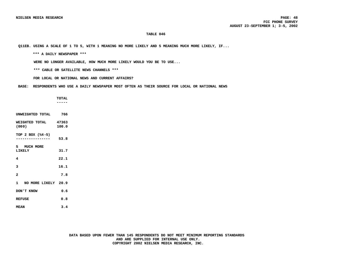**Q11EB. USING A SCALE OF 1 TO 5, WITH 1 MEANING NO MORE LIKELY AND 5 MEANING MUCH MORE LIKELY, IF...**

 **\*\*\* A DAILY NEWSPAPER \*\*\***

 **WERE NO LONGER AVAILABLE, HOW MUCH MORE LIKELY WOULD YOU BE TO USE...**

 **\*\*\* CABLE OR SATELLITE NEWS CHANNELS \*\*\***

 **FOR LOCAL OR NATIONAL NEWS AND CURRENT AFFAIRS?**

 **BASE: RESPONDENTS WHO USE A DAILY NEWSPAPER MOST OFTEN AS THEIR SOURCE FOR LOCAL OR NATIONAL NEWS**

 **TOTAL -----**

| INWEICHTED TOTAL                    | 766            |
|-------------------------------------|----------------|
| WEIGHTED TOTAL<br>(000)             | 47363<br>100.0 |
| TOP 2 BOX (%4-5)                    | 53.8           |
| 5 MUCH MORE<br>LIKELY               | 31.7           |
| 4                                   | 22.1           |
| 3                                   | 16.1           |
| $\overline{a}$                      | 7.8            |
| NO MORE LIKELY 20.9<br>$\mathbf{1}$ |                |
| DON'T KNOW                          | 0.6            |
| <b>REFUSE</b>                       | 0.8            |
| <b>MEAN</b>                         | 3.4            |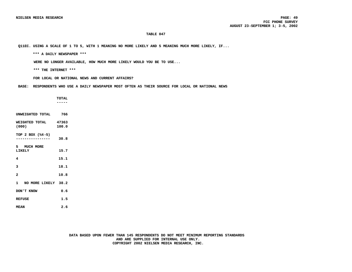**Q11EC. USING A SCALE OF 1 TO 5, WITH 1 MEANING NO MORE LIKELY AND 5 MEANING MUCH MORE LIKELY, IF...**

 **\*\*\* A DAILY NEWSPAPER \*\*\***

 **WERE NO LONGER AVAILABLE, HOW MUCH MORE LIKELY WOULD YOU BE TO USE...**

 **\*\*\* THE INTERNET \*\*\***

 **FOR LOCAL OR NATIONAL NEWS AND CURRENT AFFAIRS?**

 **BASE: RESPONDENTS WHO USE A DAILY NEWSPAPER MOST OFTEN AS THEIR SOURCE FOR LOCAL OR NATIONAL NEWS**

 **TOTAL ----- UNWEIGHTED TOTAL 766 WEIGHTED TOTAL 47363**<br>(000) 100.0 **(000) 100.0 TOP 2 BOX (%4-5) ---------------- 30.8 5 MUCH MORE LIKELY 15.7 4 15.1 3 18.1 2 10.8 1 NO MORE LIKELY 38.2 DON'T KNOW 0.6 REFUSE 1.5 MEAN 2.6**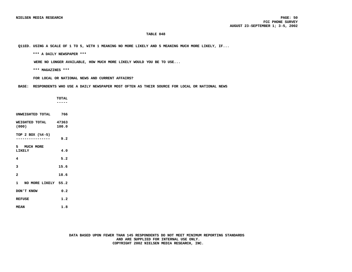**Q11ED. USING A SCALE OF 1 TO 5, WITH 1 MEANING NO MORE LIKELY AND 5 MEANING MUCH MORE LIKELY, IF...**

 **\*\*\* A DAILY NEWSPAPER \*\*\***

 **WERE NO LONGER AVAILABLE, HOW MUCH MORE LIKELY WOULD YOU BE TO USE...**

 **\*\*\* MAGAZINES \*\*\***

 **FOR LOCAL OR NATIONAL NEWS AND CURRENT AFFAIRS?**

 **BASE: RESPONDENTS WHO USE A DAILY NEWSPAPER MOST OFTEN AS THEIR SOURCE FOR LOCAL OR NATIONAL NEWS**

 **TOTAL ----- UNWEIGHTED TOTAL 766 WEIGHTED TOTAL 47363**<br>(000) 100.0 **(000) 100.0 TOP 2 BOX (%4-5) ---------------- 9.2 5 MUCH MORE LIKELY 4.0 4 5.2 3 15.6 2 18.6 1 NO MORE LIKELY 55.2 DON'T KNOW 0.2 REFUSE 1.2 MEAN 1.8**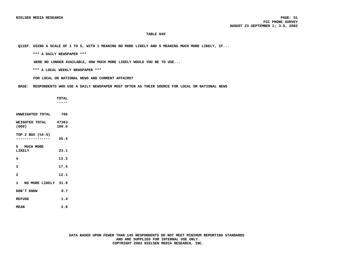**Q11EF. USING A SCALE OF 1 TO 5, WITH 1 MEANING NO MORE LIKELY AND 5 MEANING MUCH MORE LIKELY, IF...**

 **\*\*\* A DAILY NEWSPAPER \*\*\***

 **WERE NO LONGER AVAILABLE, HOW MUCH MORE LIKELY WOULD YOU BE TO USE...**

 **\*\*\* A LOCAL WEEKLY NEWSPAPER \*\*\***

 **FOR LOCAL OR NATIONAL NEWS AND CURRENT AFFAIRS?**

 **BASE: RESPONDENTS WHO USE A DAILY NEWSPAPER MOST OFTEN AS THEIR SOURCE FOR LOCAL OR NATIONAL NEWS**

 **TOTAL -----**

| UNWEIGHTED TOTAL                                    | 766            |
|-----------------------------------------------------|----------------|
| WEIGHTED TOTAL<br>(000)                             | 47363<br>100.0 |
| TOP 2 BOX (%4-5)<br>. _ _ _ _ _ _ _ _ _ _ _ _ _ _ _ | 36.4           |
| 5 MUCH MORE<br><b>LIKELY</b>                        | 23.1           |
| 4                                                   | 13.3           |
| 3                                                   | 17.4           |
| $\overline{a}$                                      | 12.1           |
| 1 NO MORE LIKELY 31.9                               |                |
| DON'T KNOW                                          | 0.7            |
| <b>REFUSE</b>                                       | 1.4            |
| <b>MEAN</b>                                         | 2.8            |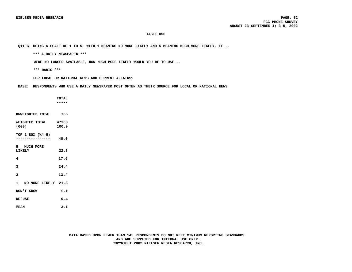**Q11EG. USING A SCALE OF 1 TO 5, WITH 1 MEANING NO MORE LIKELY AND 5 MEANING MUCH MORE LIKELY, IF...**

 **\*\*\* A DAILY NEWSPAPER \*\*\***

 **WERE NO LONGER AVAILABLE, HOW MUCH MORE LIKELY WOULD YOU BE TO USE...**

 **\*\*\* RADIO \*\*\***

 **FOR LOCAL OR NATIONAL NEWS AND CURRENT AFFAIRS?**

 **BASE: RESPONDENTS WHO USE A DAILY NEWSPAPER MOST OFTEN AS THEIR SOURCE FOR LOCAL OR NATIONAL NEWS**

 **TOTAL ----- UNWEIGHTED TOTAL 766 WEIGHTED TOTAL 47363**<br>(000) 100.0 **(000) 100.0 TOP 2 BOX (%4-5) ---------------- 40.0 5 MUCH MORE LIKELY 22.3 4 17.6 3 24.4 2 13.4 1 NO MORE LIKELY 21.8 DON'T KNOW 0.1 REFUSE 0.4**

**MEAN 3.1**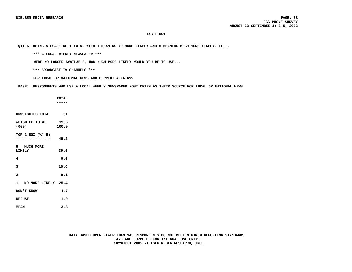**Q11FA. USING A SCALE OF 1 TO 5, WITH 1 MEANING NO MORE LIKELY AND 5 MEANING MUCH MORE LIKELY, IF...**

 **\*\*\* A LOCAL WEEKLY NEWSPAPER \*\*\***

 **WERE NO LONGER AVAILABLE, HOW MUCH MORE LIKELY WOULD YOU BE TO USE...**

 **\*\*\* BROADCAST TV CHANNELS \*\*\***

 **FOR LOCAL OR NATIONAL NEWS AND CURRENT AFFAIRS?**

 **BASE: RESPONDENTS WHO USE A LOCAL WEEKLY NEWSPAPER MOST OFTEN AS THEIR SOURCE FOR LOCAL OR NATIONAL NEWS**

 **TOTAL -----**

| UNWEIGHTED TOTAL             | 61            |
|------------------------------|---------------|
| WEIGHTED TOTAL<br>(000)      | 3955<br>100.0 |
| TOP 2 BOX (%4-5)             | 46.2          |
| 5 MUCH MORE<br><b>LIKELY</b> | 39.6          |
| 4                            | 6.6           |
| 3                            | 16.6          |
| $\overline{a}$               | 9.1           |
| 1 NO MORE LIKELY 25.4        |               |
| DON'T KNOW                   | 1.7           |
| <b>REFUSE</b>                | 1.0           |
| <b>MEAN</b>                  | 3.3           |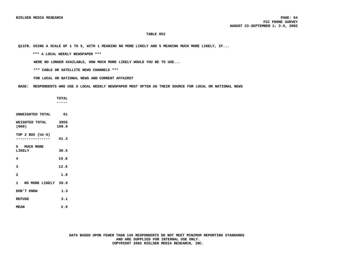**Q11FB. USING A SCALE OF 1 TO 5, WITH 1 MEANING NO MORE LIKELY AND 5 MEANING MUCH MORE LIKELY, IF...**

 **\*\*\* A LOCAL WEEKLY NEWSPAPER \*\*\***

 **WERE NO LONGER AVAILABLE, HOW MUCH MORE LIKELY WOULD YOU BE TO USE...**

 **\*\*\* CABLE OR SATELLITE NEWS CHANNELS \*\*\***

 **FOR LOCAL OR NATIONAL NEWS AND CURRENT AFFAIRS?**

 **BASE: RESPONDENTS WHO USE A LOCAL WEEKLY NEWSPAPER MOST OFTEN AS THEIR SOURCE FOR LOCAL OR NATIONAL NEWS**

 **TOTAL -----**

| UNWEIGHTED TOTAL                    | 61            |
|-------------------------------------|---------------|
| WEIGHTED TOTAL<br>(000)             | 3955<br>100.0 |
| TOP 2 BOX (%4-5)<br>--------------- | 41.3          |
| 5 MUCH MORE<br>LIKELY               | 30.5          |
| 4                                   | 10.8          |
| 3                                   | 12.6          |
| $\overline{a}$                      | 1.8           |
| 1 NO MORE LIKELY 39.9               |               |
| DON'T KNOW                          | 1.3           |
| <b>REFUSE</b>                       | 3.1           |
| <b>MEAN</b>                         | 2.9           |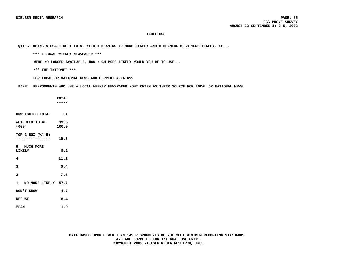**Q11FC. USING A SCALE OF 1 TO 5, WITH 1 MEANING NO MORE LIKELY AND 5 MEANING MUCH MORE LIKELY, IF...**

 **\*\*\* A LOCAL WEEKLY NEWSPAPER \*\*\***

 **WERE NO LONGER AVAILABLE, HOW MUCH MORE LIKELY WOULD YOU BE TO USE...**

 **\*\*\* THE INTERNET \*\*\***

 **FOR LOCAL OR NATIONAL NEWS AND CURRENT AFFAIRS?**

 **BASE: RESPONDENTS WHO USE A LOCAL WEEKLY NEWSPAPER MOST OFTEN AS THEIR SOURCE FOR LOCAL OR NATIONAL NEWS**

 **TOTAL ----- UNWEIGHTED TOTAL 61 WEIGHTED TOTAL 3955**<br>(000) 100.0 **(000) 100.0 TOP 2 BOX (%4-5) ---------------- 19.3 5 MUCH MORE LIKELY 8.2 4 11.1 3 5.4 2 7.5 1 NO MORE LIKELY 57.7 DON'T KNOW 1.7** REFUSE 8.4 **MEAN 1.9**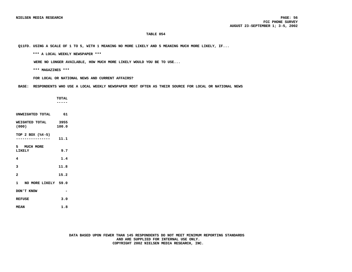**Q11FD. USING A SCALE OF 1 TO 5, WITH 1 MEANING NO MORE LIKELY AND 5 MEANING MUCH MORE LIKELY, IF...**

 **\*\*\* A LOCAL WEEKLY NEWSPAPER \*\*\***

 **WERE NO LONGER AVAILABLE, HOW MUCH MORE LIKELY WOULD YOU BE TO USE...**

 **\*\*\* MAGAZINES \*\*\***

 **FOR LOCAL OR NATIONAL NEWS AND CURRENT AFFAIRS?**

 **BASE: RESPONDENTS WHO USE A LOCAL WEEKLY NEWSPAPER MOST OFTEN AS THEIR SOURCE FOR LOCAL OR NATIONAL NEWS**

 **TOTAL ----- UNWEIGHTED TOTAL 61 WEIGHTED TOTAL 3955**<br>(000) 100.0 **(000) 100.0 TOP 2 BOX (%4-5) ---------------- 11.1 5 MUCH MORE LIKELY 9.7 4 1.4 3 11.8 2 15.2 1 NO MORE LIKELY 59.0 DON'T KNOW - REFUSE 3.0 MEAN 1.8**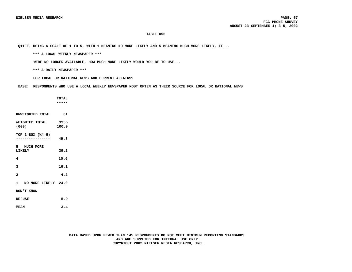**Q11FE. USING A SCALE OF 1 TO 5, WITH 1 MEANING NO MORE LIKELY AND 5 MEANING MUCH MORE LIKELY, IF...**

 **\*\*\* A LOCAL WEEKLY NEWSPAPER \*\*\***

 **WERE NO LONGER AVAILABLE, HOW MUCH MORE LIKELY WOULD YOU BE TO USE...**

 **\*\*\* A DAILY NEWSPAPER \*\*\***

 **FOR LOCAL OR NATIONAL NEWS AND CURRENT AFFAIRS?**

 **BASE: RESPONDENTS WHO USE A LOCAL WEEKLY NEWSPAPER MOST OFTEN AS THEIR SOURCE FOR LOCAL OR NATIONAL NEWS**

 **TOTAL ----- UNWEIGHTED TOTAL 61 WEIGHTED TOTAL 3955**<br>(000) 100.0

**TOP 2 BOX (%4-5) ---------------- 49.8**

**(000) 100.0**

**5 MUCH MORE LIKELY 39.2 4 10.6 3 16.1 2 4.2**

**1 NO MORE LIKELY 24.0 DON'T KNOW -**

**REFUSE 5.9**

**MEAN 3.4**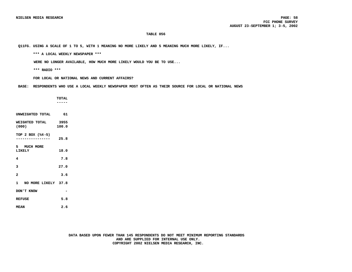**Q11FG. USING A SCALE OF 1 TO 5, WITH 1 MEANING NO MORE LIKELY AND 5 MEANING MUCH MORE LIKELY, IF...**

 **\*\*\* A LOCAL WEEKLY NEWSPAPER \*\*\***

 **WERE NO LONGER AVAILABLE, HOW MUCH MORE LIKELY WOULD YOU BE TO USE...**

 **\*\*\* RADIO \*\*\***

 **FOR LOCAL OR NATIONAL NEWS AND CURRENT AFFAIRS?**

 **BASE: RESPONDENTS WHO USE A LOCAL WEEKLY NEWSPAPER MOST OFTEN AS THEIR SOURCE FOR LOCAL OR NATIONAL NEWS**

 **TOTAL ----- UNWEIGHTED TOTAL 61 WEIGHTED TOTAL 3955**<br>(000) 100.0 **(000) 100.0 TOP 2 BOX (%4-5) ---------------- 25.8 5 MUCH MORE LIKELY 18.0 4 7.8 3 27.0 2 3.6 1 NO MORE LIKELY 37.8 DON'T KNOW - REFUSE 5.8 MEAN 2.6**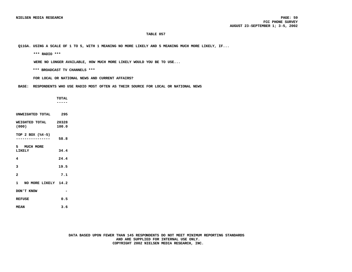**Q11GA. USING A SCALE OF 1 TO 5, WITH 1 MEANING NO MORE LIKELY AND 5 MEANING MUCH MORE LIKELY, IF...**

 **\*\*\* RADIO \*\*\***

 **WERE NO LONGER AVAILABLE, HOW MUCH MORE LIKELY WOULD YOU BE TO USE...**

 **\*\*\* BROADCAST TV CHANNELS \*\*\***

 **FOR LOCAL OR NATIONAL NEWS AND CURRENT AFFAIRS?**

 **BASE: RESPONDENTS WHO USE RADIO MOST OFTEN AS THEIR SOURCE FOR LOCAL OR NATIONAL NEWS**

 **TOTAL -----**

| UNWEIGHTED TOTAL              | 295   |
|-------------------------------|-------|
| WEIGHTED TOTAL 20328<br>(000) | 100.0 |
| TOP 2 BOX (%4-5)              | 58.8  |
| 5 MUCH MORE<br>LIKELY         | 34.4  |
| 4                             | 24.4  |
| 3                             | 19.5  |
| $\overline{a}$                | 7.1   |
| 1 NO MORE LIKELY 14.2         |       |
| DON'T KNOW                    |       |
| <b>REFUSE</b>                 | 0.5   |
| <b>MEAN</b>                   | 3.6   |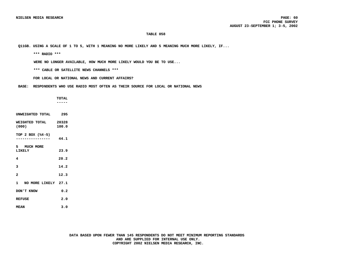**Q11GB. USING A SCALE OF 1 TO 5, WITH 1 MEANING NO MORE LIKELY AND 5 MEANING MUCH MORE LIKELY, IF...**

 **\*\*\* RADIO \*\*\***

 **WERE NO LONGER AVAILABLE, HOW MUCH MORE LIKELY WOULD YOU BE TO USE...**

 **\*\*\* CABLE OR SATELLITE NEWS CHANNELS \*\*\***

 **FOR LOCAL OR NATIONAL NEWS AND CURRENT AFFAIRS?**

 **BASE: RESPONDENTS WHO USE RADIO MOST OFTEN AS THEIR SOURCE FOR LOCAL OR NATIONAL NEWS**

 **TOTAL -----**

**UNWEIGHTED TOTAL 295 WEIGHTED TOTAL 20328**<br>(000) 100.0 **(000) 100.0 TOP 2 BOX (%4-5) ---------------- 44.1 5 MUCH MORE LIKELY 23.9 4 20.2 3 14.2 2 12.3 1 NO MORE LIKELY 27.1 DON'T KNOW 0.2 REFUSE 2.0 MEAN 3.0**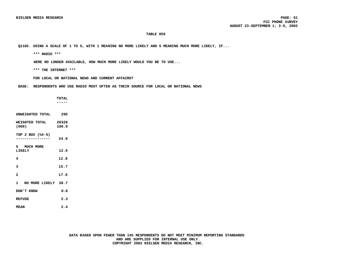**Q11GC. USING A SCALE OF 1 TO 5, WITH 1 MEANING NO MORE LIKELY AND 5 MEANING MUCH MORE LIKELY, IF...**

 **\*\*\* RADIO \*\*\***

 **WERE NO LONGER AVAILABLE, HOW MUCH MORE LIKELY WOULD YOU BE TO USE...**

 **\*\*\* THE INTERNET \*\*\***

 **FOR LOCAL OR NATIONAL NEWS AND CURRENT AFFAIRS?**

 **BASE: RESPONDENTS WHO USE RADIO MOST OFTEN AS THEIR SOURCE FOR LOCAL OR NATIONAL NEWS**

|                               | <b>TOTAL</b><br>----- |
|-------------------------------|-----------------------|
| UNWEIGHTED TOTAL 295          |                       |
| WEIGHTED TOTAL 20328<br>(000) | 100.0                 |
| TOP 2 BOX (%4-5)              | 24.9                  |
| 5 MUCH MORE<br>LIKELY         | 12.0                  |
| 4                             | 12.8                  |
| 3                             | 15.7                  |
| $\overline{\mathbf{c}}$       | 17.6                  |
| 1 NO MORE LIKELY 38.7         |                       |
| DON'T KNOW                    | 0.8                   |
| <b>REFUSE</b>                 | 2.3                   |
| <b>MEAN</b>                   | 2.4                   |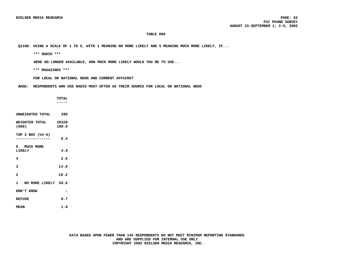**Q11GD. USING A SCALE OF 1 TO 5, WITH 1 MEANING NO MORE LIKELY AND 5 MEANING MUCH MORE LIKELY, IF...**

 **\*\*\* RADIO \*\*\***

 **WERE NO LONGER AVAILABLE, HOW MUCH MORE LIKELY WOULD YOU BE TO USE...**

 **\*\*\* MAGAZINES \*\*\***

 **FOR LOCAL OR NATIONAL NEWS AND CURRENT AFFAIRS?**

 **BASE: RESPONDENTS WHO USE RADIO MOST OFTEN AS THEIR SOURCE FOR LOCAL OR NATIONAL NEWS**

 **TOTAL ----- UNWEIGHTED TOTAL 295 WEIGHTED TOTAL 20328**<br>(000) 100.0 **(000) 100.0 TOP 2 BOX (%4-5) ---------------- 8.4 5 MUCH MORE LIKELY 4.8 4 3.6 3 14.0 2 18.2 1 NO MORE LIKELY 58.6 DON'T KNOW - REFUSE 0.7 MEAN 1.8**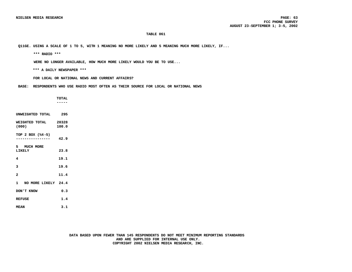**Q11GE. USING A SCALE OF 1 TO 5, WITH 1 MEANING NO MORE LIKELY AND 5 MEANING MUCH MORE LIKELY, IF...**

 **\*\*\* RADIO \*\*\***

 **WERE NO LONGER AVAILABLE, HOW MUCH MORE LIKELY WOULD YOU BE TO USE...**

 **\*\*\* A DAILY NEWSPAPER \*\*\***

 **FOR LOCAL OR NATIONAL NEWS AND CURRENT AFFAIRS?**

 **BASE: RESPONDENTS WHO USE RADIO MOST OFTEN AS THEIR SOURCE FOR LOCAL OR NATIONAL NEWS**

 **TOTAL ----- UNWEIGHTED TOTAL 295**

**WEIGHTED TOTAL 20328**<br>(000) 100.0 **(000) 100.0**

**TOP 2 BOX (%4-5) ---------------- 42.9**

**5 MUCH MORE LIKELY 23.8 4 19.1 3 19.6 2 11.4**

**1 NO MORE LIKELY 24.4 DON'T KNOW 0.3**

**REFUSE** 1.4

**MEAN 3.1**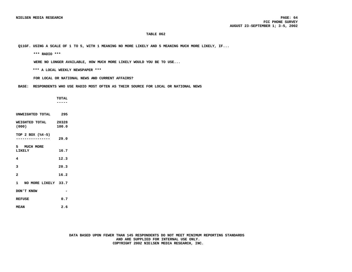**Q11GF. USING A SCALE OF 1 TO 5, WITH 1 MEANING NO MORE LIKELY AND 5 MEANING MUCH MORE LIKELY, IF...**

 **\*\*\* RADIO \*\*\***

 **WERE NO LONGER AVAILABLE, HOW MUCH MORE LIKELY WOULD YOU BE TO USE...**

 **\*\*\* A LOCAL WEEKLY NEWSPAPER \*\*\***

 **FOR LOCAL OR NATIONAL NEWS AND CURRENT AFFAIRS?**

 **BASE: RESPONDENTS WHO USE RADIO MOST OFTEN AS THEIR SOURCE FOR LOCAL OR NATIONAL NEWS**

 **TOTAL -----**

| UNWEIGHTED TOTAL        | 295            |
|-------------------------|----------------|
| WEIGHTED TOTAL<br>(000) | 20328<br>100.0 |
| TOP 2 BOX (%4-5)        | 29.0           |
| 5 MUCH MORE<br>LIKELY   | 16.7           |
| 4                       | 12.3           |
| 3                       | 20.3           |
| $\overline{a}$          | 16.2           |
| 1 NO MORE LIKELY 33.7   |                |
| DON'T KNOW              |                |
| <b>REFUSE</b>           | 0.7            |
| <b>MEAN</b>             | 2.6            |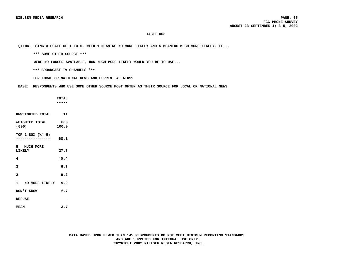**Q11HA. USING A SCALE OF 1 TO 5, WITH 1 MEANING NO MORE LIKELY AND 5 MEANING MUCH MORE LIKELY, IF...**

 **\*\*\* SOME OTHER SOURCE \*\*\***

 **WERE NO LONGER AVAILABLE, HOW MUCH MORE LIKELY WOULD YOU BE TO USE...**

 **\*\*\* BROADCAST TV CHANNELS \*\*\***

 **FOR LOCAL OR NATIONAL NEWS AND CURRENT AFFAIRS?**

 **BASE: RESPONDENTS WHO USE SOME OTHER SOURCE MOST OFTEN AS THEIR SOURCE FOR LOCAL OR NATIONAL NEWS**

 **TOTAL ----- UNWEIGHTED TOTAL 11 WEIGHTED TOTAL 600**<br>(000) 100.0 **TOP 2 BOX (%4-5) ---------------- 68.1 5 MUCH MORE LIKELY 27.7 4 40.4 3 6.7**

**1 NO MORE LIKELY 9.2 DON'T KNOW 6.7**

**2 9.2**

**REFUSE -**

**(000) 100.0**

**MEAN 3.7**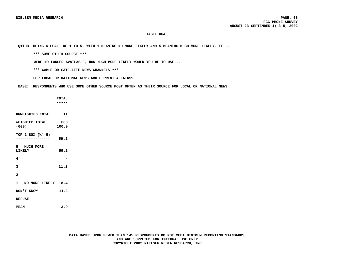**Q11HB. USING A SCALE OF 1 TO 5, WITH 1 MEANING NO MORE LIKELY AND 5 MEANING MUCH MORE LIKELY, IF...**

 **\*\*\* SOME OTHER SOURCE \*\*\***

 **WERE NO LONGER AVAILABLE, HOW MUCH MORE LIKELY WOULD YOU BE TO USE...**

 **\*\*\* CABLE OR SATELLITE NEWS CHANNELS \*\*\***

 **FOR LOCAL OR NATIONAL NEWS AND CURRENT AFFAIRS?**

 **BASE: RESPONDENTS WHO USE SOME OTHER SOURCE MOST OFTEN AS THEIR SOURCE FOR LOCAL OR NATIONAL NEWS**

 **TOTAL ----- UNWEIGHTED TOTAL 11 WEIGHTED TOTAL 600**<br>(000) 100.0 **TOP 2 BOX (%4-5) ---------------- 59.2 5 MUCH MORE LIKELY 59.2 4 - 3 11.2**

**2 -**

**(000) 100.0**

**1 NO MORE LIKELY 18.4**

**DON'T KNOW 11.2 REFUSE -**

**MEAN 3.9**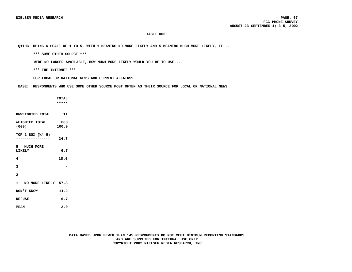**Q11HC. USING A SCALE OF 1 TO 5, WITH 1 MEANING NO MORE LIKELY AND 5 MEANING MUCH MORE LIKELY, IF...**

 **\*\*\* SOME OTHER SOURCE \*\*\***

 **WERE NO LONGER AVAILABLE, HOW MUCH MORE LIKELY WOULD YOU BE TO USE...**

 **\*\*\* THE INTERNET \*\*\***

 **FOR LOCAL OR NATIONAL NEWS AND CURRENT AFFAIRS?**

 **BASE: RESPONDENTS WHO USE SOME OTHER SOURCE MOST OFTEN AS THEIR SOURCE FOR LOCAL OR NATIONAL NEWS**

 **TOTAL ----- UNWEIGHTED TOTAL 11 WEIGHTED TOTAL 600**<br>(000) 100.0 **(000) 100.0 TOP 2 BOX (%4-5) ---------------- 24.7 5 MUCH MORE LIKELY 6.7 4 18.0 3 - 2 - 1 NO MORE LIKELY 57.3 DON'T KNOW 11.2 REFUSE 6.7**

**MEAN 2.0**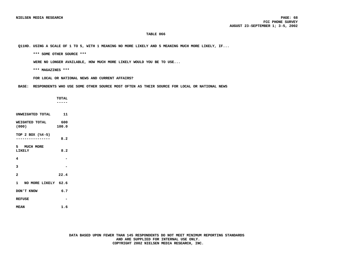**Q11HD. USING A SCALE OF 1 TO 5, WITH 1 MEANING NO MORE LIKELY AND 5 MEANING MUCH MORE LIKELY, IF...**

 **\*\*\* SOME OTHER SOURCE \*\*\***

 **WERE NO LONGER AVAILABLE, HOW MUCH MORE LIKELY WOULD YOU BE TO USE...**

 **\*\*\* MAGAZINES \*\*\***

 **FOR LOCAL OR NATIONAL NEWS AND CURRENT AFFAIRS?**

 **BASE: RESPONDENTS WHO USE SOME OTHER SOURCE MOST OFTEN AS THEIR SOURCE FOR LOCAL OR NATIONAL NEWS**

 **TOTAL ----- UNWEIGHTED TOTAL 11 WEIGHTED TOTAL 600**<br>(000) 100.0 **(000) 100.0 TOP 2 BOX (%4-5) ---------------- 8.2 5 MUCH MORE LIKELY 8.2 4 - 3 - 2 22.4 1 NO MORE LIKELY 62.6 DON'T KNOW 6.7 REFUSE - MEAN 1.6**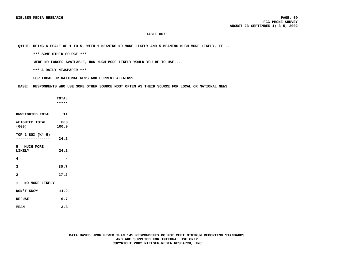**Q11HE. USING A SCALE OF 1 TO 5, WITH 1 MEANING NO MORE LIKELY AND 5 MEANING MUCH MORE LIKELY, IF...**

 **\*\*\* SOME OTHER SOURCE \*\*\***

 **WERE NO LONGER AVAILABLE, HOW MUCH MORE LIKELY WOULD YOU BE TO USE...**

 **\*\*\* A DAILY NEWSPAPER \*\*\***

 **FOR LOCAL OR NATIONAL NEWS AND CURRENT AFFAIRS?**

 **BASE: RESPONDENTS WHO USE SOME OTHER SOURCE MOST OFTEN AS THEIR SOURCE FOR LOCAL OR NATIONAL NEWS**

 **TOTAL ----- UNWEIGHTED TOTAL 11 WEIGHTED TOTAL 600**<br>(000) 100.0 **(000) 100.0 TOP 2 BOX (%4-5) ---------------- 24.2 5 MUCH MORE LIKELY 24.2 4 - 3 30.7 2 27.2 1 NO MORE LIKELY - DON'T KNOW 11.2 REFUSE 6.7 MEAN 3.3**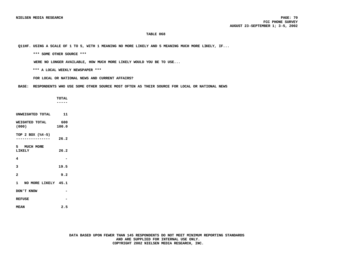**Q11HF. USING A SCALE OF 1 TO 5, WITH 1 MEANING NO MORE LIKELY AND 5 MEANING MUCH MORE LIKELY, IF...**

 **\*\*\* SOME OTHER SOURCE \*\*\***

 **WERE NO LONGER AVAILABLE, HOW MUCH MORE LIKELY WOULD YOU BE TO USE...**

 **\*\*\* A LOCAL WEEKLY NEWSPAPER \*\*\***

 **FOR LOCAL OR NATIONAL NEWS AND CURRENT AFFAIRS?**

 **BASE: RESPONDENTS WHO USE SOME OTHER SOURCE MOST OFTEN AS THEIR SOURCE FOR LOCAL OR NATIONAL NEWS**

 **TOTAL ----- UNWEIGHTED TOTAL 11 WEIGHTED TOTAL 600**<br>(000) 100.0 **(000) 100.0 TOP 2 BOX (%4-5) ---------------- 26.2 5 MUCH MORE LIKELY 26.2 4 - 3 19.5 2 9.2 1 NO MORE LIKELY 45.1 DON'T KNOW - REFUSE - MEAN 2.5**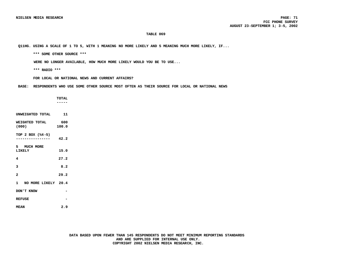**Q11HG. USING A SCALE OF 1 TO 5, WITH 1 MEANING NO MORE LIKELY AND 5 MEANING MUCH MORE LIKELY, IF...**

 **\*\*\* SOME OTHER SOURCE \*\*\***

 **WERE NO LONGER AVAILABLE, HOW MUCH MORE LIKELY WOULD YOU BE TO USE...**

 **\*\*\* RADIO \*\*\***

 **FOR LOCAL OR NATIONAL NEWS AND CURRENT AFFAIRS?**

 **BASE: RESPONDENTS WHO USE SOME OTHER SOURCE MOST OFTEN AS THEIR SOURCE FOR LOCAL OR NATIONAL NEWS**

|                       | <b>TOTAL</b> |
|-----------------------|--------------|
|                       | .            |
|                       |              |
| UNWEIGHTED TOTAL      | 11           |
| WEIGHTED TOTAL        | 600          |
| (000)                 | 100.0        |
|                       |              |
| TOP 2 BOX (%4-5)      | 42.2         |
|                       |              |
| 5 MUCH MORE           |              |
| LIKELY                | 15.0         |
|                       |              |
| 4                     | 27.2         |
| 3                     | 8.2          |
|                       |              |
| $\overline{a}$        | 29.2         |
|                       |              |
| 1 NO MORE LIKELY 20.4 |              |
|                       |              |
| DON'T KNOW            |              |
| <b>REFUSE</b>         |              |
|                       |              |
| <b>MEAN</b>           | 2.9          |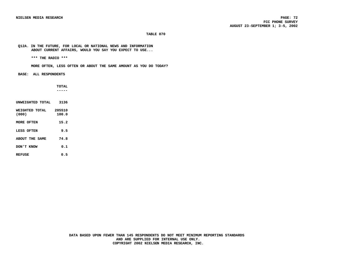**Q12A. IN THE FUTURE, FOR LOCAL OR NATIONAL NEWS AND INFORMATION ABOUT CURRENT AFFAIRS, WOULD YOU SAY YOU EXPECT TO USE...**

 **\*\*\* THE RADIO \*\*\***

 **MORE OFTEN, LESS OFTEN OR ABOUT THE SAME AMOUNT AS YOU DO TODAY?**

 **BASE: ALL RESPONDENTS**

 **TOTAL -----**

| INWETGHTED TOTAL        | 3136            |
|-------------------------|-----------------|
| WEIGHTED TOTAL<br>(000) | 205510<br>100.0 |
| MORE OFTEN              | 15.2            |
| LESS OFTEN              | 9.5             |
| <b>ABOUT THE SAME</b>   | 74.8            |
| DON'T KNOW              | 0.1             |
| REFUSE                  | 0.5             |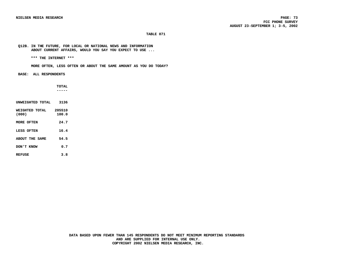**Q12B. IN THE FUTURE, FOR LOCAL OR NATIONAL NEWS AND INFORMATION ABOUT CURRENT AFFAIRS, WOULD YOU SAY YOU EXPECT TO USE ...**

 **\*\*\* THE INTERNET \*\*\***

 **MORE OFTEN, LESS OFTEN OR ABOUT THE SAME AMOUNT AS YOU DO TODAY?**

 **BASE: ALL RESPONDENTS**

 **TOTAL -----**

| UNWEIGHTED TOTAL        | 3136            |
|-------------------------|-----------------|
| WEIGHTED TOTAL<br>(000) | 205510<br>100.0 |
| MORE OFTEN              | 24.7            |
| LESS OFTEN              | 16.4            |
| ABOUT THE SAME          | 54.5            |
| <b>DON'T KNOW</b>       | 0.7             |
| <b>REFUSE</b>           | 3.8             |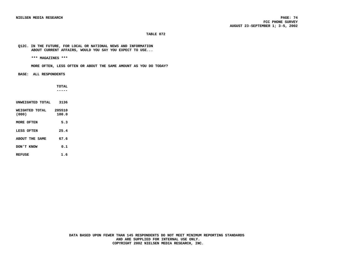**Q12C. IN THE FUTURE, FOR LOCAL OR NATIONAL NEWS AND INFORMATION ABOUT CURRENT AFFAIRS, WOULD YOU SAY YOU EXPECT TO USE...**

 **\*\*\* MAGAZINES \*\*\***

 **MORE OFTEN, LESS OFTEN OR ABOUT THE SAME AMOUNT AS YOU DO TODAY?**

 **BASE: ALL RESPONDENTS**

 **TOTAL -----**

| INWETGHTED TOTAL        | 3136            |
|-------------------------|-----------------|
| WEIGHTED TOTAL<br>(000) | 205510<br>100.0 |
| MORE OFTEN              | 5.3             |
| LESS OFTEN              | 25.4            |
| ABOUT THE SAME          | 67.6            |
| DON'T KNOW              | 0.1             |
| REFUSE                  | 1.6             |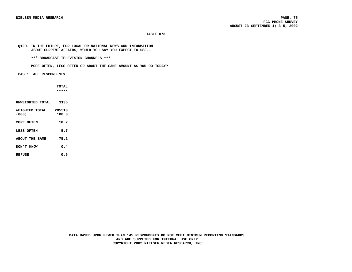# **Q12D. IN THE FUTURE, FOR LOCAL OR NATIONAL NEWS AND INFORMATION ABOUT CURRENT AFFAIRS, WOULD YOU SAY YOU EXPECT TO USE...**

 **\*\*\* BROADCAST TELEVISION CHANNELS \*\*\***

 **MORE OFTEN, LESS OFTEN OR ABOUT THE SAME AMOUNT AS YOU DO TODAY?**

 **BASE: ALL RESPONDENTS**

 **TOTAL -----**

| INWETGHTED TOTAL        | 3136            |
|-------------------------|-----------------|
| WEIGHTED TOTAL<br>(000) | 205510<br>100.0 |
| MORE OFTEN              | 18.2            |
| LESS OFTEN              | 5.7             |
| ABOUT THE SAME          | 75.2            |
| DON'T KNOW              | 0.4             |
| REFUSE                  | 0.5             |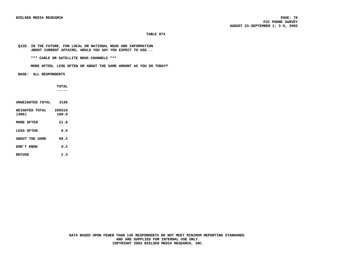## **Q12E. IN THE FUTURE, FOR LOCAL OR NATIONAL NEWS AND INFORMATION ABOUT CURRENT AFFAIRS, WOULD YOU SAY YOU EXPECT TO USE...**

 **\*\*\* CABLE OR SATELLITE NEWS CHANNELS \*\*\***

 **MORE OFTEN, LESS OFTEN OR ABOUT THE SAME AMOUNT AS YOU DO TODAY?**

 **BASE: ALL RESPONDENTS**

 **TOTAL -----**

| INWETCHTED TOTAL        | 3136            |
|-------------------------|-----------------|
| WEIGHTED TOTAL<br>(000) | 205510<br>100.0 |
| MORE OFTEN              | 21.8            |
| LESS OFTEN              | 8.5             |
| ABOUT THE SAME          | 68.2            |
| DON'T KNOW              | 0.2             |
| <b>REFUSE</b>           | 1.3             |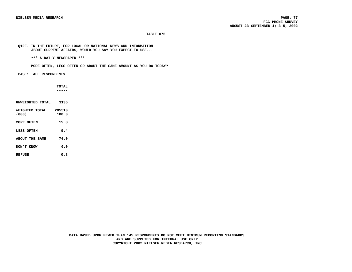# **Q12F. IN THE FUTURE, FOR LOCAL OR NATIONAL NEWS AND INFORMATION ABOUT CURRENT AFFAIRS, WOULD YOU SAY YOU EXPECT TO USE...**

 **\*\*\* A DAILY NEWSPAPER \*\*\***

 **MORE OFTEN, LESS OFTEN OR ABOUT THE SAME AMOUNT AS YOU DO TODAY?**

 **BASE: ALL RESPONDENTS**

 **TOTAL -----**

| UNWEIGHTED TOTAL        | 3136            |
|-------------------------|-----------------|
| WEIGHTED TOTAL<br>(000) | 205510<br>100.0 |
| MORE OFTEN              | 15.8            |
| LESS OFTEN              | 9.4             |
| <b>ABOUT THE SAME</b>   | 74.0            |
| DON'T KNOW              | 0.0             |
| <b>REFUSE</b>           | 0.8             |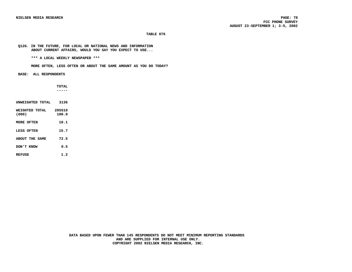# **Q12G. IN THE FUTURE, FOR LOCAL OR NATIONAL NEWS AND INFORMATION ABOUT CURRENT AFFAIRS, WOULD YOU SAY YOU EXPECT TO USE...**

 **\*\*\* A LOCAL WEEKLY NEWSPAPER \*\*\***

 **MORE OFTEN, LESS OFTEN OR ABOUT THE SAME AMOUNT AS YOU DO TODAY?**

 **BASE: ALL RESPONDENTS**

 **TOTAL -----**

| INWETGHTED TOTAL        | 3136            |
|-------------------------|-----------------|
| WETCHTED TOTAL<br>(000) | 205510<br>100.0 |
| MORE OFTEN              | 10.1            |
| LESS OFTEN              | 15.7            |
| <b>ABOUT THE SAME</b>   | 72.5            |
| DON'T KNOW              | 0.5             |
| <b>REFUSE</b>           | 1.2             |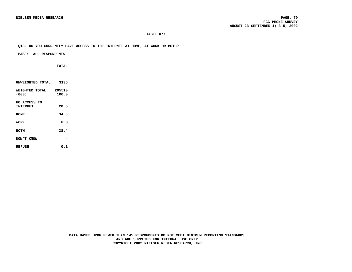# **Q13. DO YOU CURRENTLY HAVE ACCESS TO THE INTERNET AT HOME, AT WORK OR BOTH?**

## **BASE: ALL RESPONDENTS**

 **TOTAL -----**

| UNWEIGHTED TOTAL                | 3136            |
|---------------------------------|-----------------|
| WEIGHTED TOTAL<br>(000)         | 205510<br>100.0 |
| NO ACCESS TO<br><b>INTERNET</b> | 20.6            |
| HOME                            | 34.5            |
| <b>WORK</b>                     | 6.3             |
| <b>BOTH</b>                     | 38.4            |
| DON'T KNOW                      |                 |
| <b>REFUSE</b>                   | 0.1             |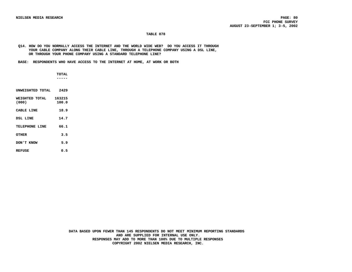# **Q14. HOW DO YOU NORMALLY ACCESS THE INTERNET AND THE WORLD WIDE WEB? DO YOU ACCESS IT THROUGH YOUR CABLE COMPANY ALONG THEIR CABLE LINE, THROUGH A TELEPHONE COMPANY USING A DSL LINE, OR THROUGH YOUR PHONE COMPANY USING A STANDARD TELEPHONE LINE?**

 **BASE: RESPONDENTS WHO HAVE ACCESS TO THE INTERNET AT HOME, AT WORK OR BOTH**

 **TOTAL -----**

| UNWEIGHTED TOTAL        | 2429            |  |  |
|-------------------------|-----------------|--|--|
| WETCHTED TOTAL<br>(000) | 163215<br>100.0 |  |  |
| <b>CABLE LINE</b>       | 18.9            |  |  |
| DSL LINE                | 14.7            |  |  |
| TELEPHONE LINE          | 66.1            |  |  |
| OTHER                   | 3.5             |  |  |
| <b>EXNOW</b> T' KNOW    | 5.9             |  |  |
| <b>REFUSE</b>           | 0.5             |  |  |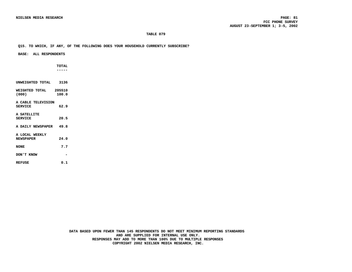# **Q15. TO WHICH, IF ANY, OF THE FOLLOWING DOES YOUR HOUSEHOLD CURRENTLY SUBSCRIBE?**

# **BASE: ALL RESPONDENTS**

 **TOTAL -----**

| UNWEIGHTED TOTAL 3136                       |       |  |
|---------------------------------------------|-------|--|
| WEIGHTED TOTAL         205510<br>(000)      | 100.0 |  |
| <b>A CABLE TELEVISION</b><br><b>SERVICE</b> | 62.9  |  |
| <b>A SATELLITE</b><br><b>SERVICE</b>        | 20.5  |  |
| A DAILY NEWSPAPER 49.8                      |       |  |
| A LOCAL WEEKLY<br><b>NEWSPAPER</b>          | 24.0  |  |
| <b>NONE</b>                                 | 7.7   |  |
| DON'T KNOW                                  |       |  |
| REFUSE                                      | 0.1   |  |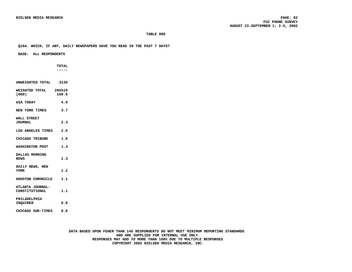# **Q16A. WHICH, IF ANY, DAILY NEWSPAPERS HAVE YOU READ IN THE PAST 7 DAYS?**

 **BASE: ALL RESPONDENTS**

 **TOTAL -----**

| UNWEIGHTED TOTAL 3136              |       |
|------------------------------------|-------|
| WEIGHTED TOTAL 205510<br>(000)     | 100.0 |
| USA TODAY                          | 4.0   |
| NEW YORK TIMES                     | 3.7   |
| WALL STREET<br><b>JOURNAL</b>      | 2.3   |
| LOS ANGELES TIMES 2.0              |       |
| CHICAGO TRIBUNE                    | 1.8   |
| WASHINGTON POST                    | 1.3   |
| DALLAS MORNING<br><b>NEWS</b>      | 1.3   |
| DAILY NEWS, NEW<br><b>YORK</b>     | 1.2   |
| HOUSTON CHRONICLE                  | 1.1   |
| ATLANTA JOURNAL-<br>CONSTITUTIONAL | 1.1   |
| PHILADELPHIA<br><b>INOUIRER</b>    | 0.8   |
| CHICAGO SUN-TIMES                  | 0.8   |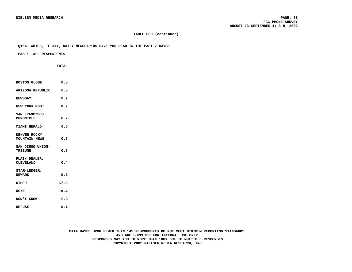# **TABLE 080 (continued)**

#### **Q16A. WHICH, IF ANY, DAILY NEWSPAPERS HAVE YOU READ IN THE PAST 7 DAYS?**

# **BASE: ALL RESPONDENTS**

 **TOTAL -----**

| BOSTON GLOBE                             | 0.8  |  |  |
|------------------------------------------|------|--|--|
| ARIZONA REPUBLIC 0.8                     |      |  |  |
| <b>NEWSDAY</b>                           | 0.7  |  |  |
| NEW YORK POST                            | 0.7  |  |  |
| <b>SAN FRANCISCO</b><br><b>CHRONICLE</b> | 0.7  |  |  |
| <b>MIAMI HERALD</b>                      | 0.6  |  |  |
| DENVER ROCKY<br><b>MOUNTAIN NEWS</b>     | 0.6  |  |  |
| SAN DIEGO UNION-<br><b>TRIBUNE</b>       | 0.5  |  |  |
| PLAIN DEALER,<br>CLEVELAND               | 0.4  |  |  |
| STAR-LEDGER,<br><b>NEWARK</b>            | 0.3  |  |  |
| OTHER                                    | 67.8 |  |  |
| <b>NONE</b>                              | 19.4 |  |  |
| DON'T KNOW                               | 0.3  |  |  |
| <b>REFUSE</b>                            | 0.1  |  |  |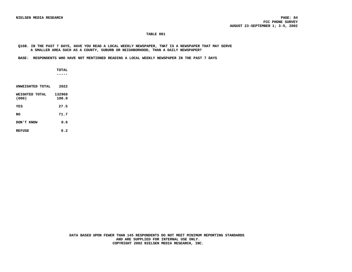**Q16B. IN THE PAST 7 DAYS, HAVE YOU READ A LOCAL WEEKLY NEWSPAPER, THAT IS A NEWSPAPER THAT MAY SERVE A SMALLER AREA SUCH AS A COUNTY, SUBURB OR NEIGHBORHOOD, THAN A DAILY NEWSPAPER?**

 **BASE: RESPONDENTS WHO HAVE NOT MENTIONED READING A LOCAL WEEKLY NEWSPAPER IN THE PAST 7 DAYS**

 **TOTAL -----**

**UNWEIGHTED TOTAL 2022 WEIGHTED TOTAL 132968**<br>(000) 100.0 **(000) 100.0 YES 27.5 NO 71.7 DON'T KNOW 0.6**

**REFUSE 0.2**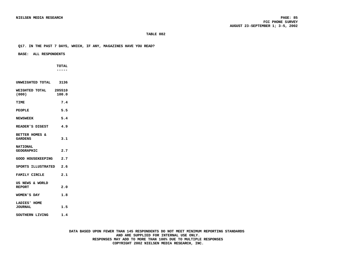# **Q17. IN THE PAST 7 DAYS, WHICH, IF ANY, MAGAZINES HAVE YOU READ?**

#### **BASE: ALL RESPONDENTS**

**UNWEIGHTED TOTAL 3136**

 **TOTAL -----**

| WEIGHTED TOTAL 205510<br>(000)       | 100.0 |
|--------------------------------------|-------|
| <b>TTME</b>                          | 7.4   |
| <b>PEOPLE</b>                        | 5.5   |
| <b>NEWSWEEK</b>                      | 5.4   |
| READER'S DIGEST 4.9                  |       |
| BETTER HOMES &<br><b>GARDENS</b>     | 3.1   |
| <b>NATIONAL</b><br><b>GEOGRAPHIC</b> | 2.7   |
| GOOD HOUSEKEEPING                    | 2.7   |
| SPORTS ILLUSTRATED                   | 2.6   |
| FAMILY CIRCLE                        | 2.1   |
| US NEWS & WORLD<br><b>REPORT</b>     | 2.0   |
| WOMEN'S DAY                          | 1.8   |
| LADIES' HOME<br><b>JOURNAL</b>       | 1.5   |
| SOUTHERN LIVING                      | 1.4   |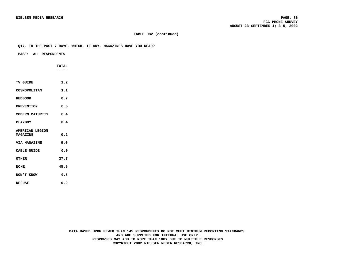# **TABLE 082 (continued)**

#### **Q17. IN THE PAST 7 DAYS, WHICH, IF ANY, MAGAZINES HAVE YOU READ?**

 **BASE: ALL RESPONDENTS**

 **TOTAL ----- TV GUIDE 1.2** COSMOPOLITAN 1.1 **REDBOOK 0.7 PREVENTION 0.6 MODERN MATURITY 0.4 PLAYBOY 0.4 AMERICAN LEGION MAGAZINE 0.2 VIA MAGAZINE 0.0 CABLE GUIDE 0.0 OTHER 37.7 NONE 45.9 DON'T KNOW 0.5 REFUSE 0.2**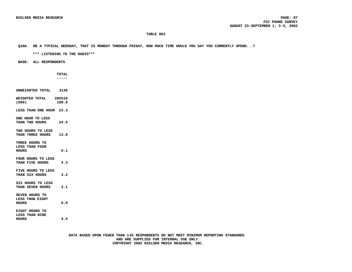#### **Q18A. ON A TYPICAL WEEKDAY, THAT IS MONDAY THROUGH FRIDAY, HOW MUCH TIME WOULD YOU SAY YOU CURRENTLY SPEND...?**

 **\*\*\* LISTENING TO THE RADIO\*\*\***

 **BASE: ALL RESPONDENTS**

 **TOTAL -----**

**UNWEIGHTED TOTAL 3136 WEIGHTED TOTAL 205510 (000) 100.0 LESS THAN ONE HOUR 23.3 ONE HOUR TO LESS THAN TWO HOURS 24.5 TWO HOURS TO LESS THAN THREE HOURS 13.0 THREE HOURS TO LESS THAN FOUR HOURS 6.1 FOUR HOURS TO LESS THAN FIVE HOURS 4.3 FIVE HOURS TO LESS THAN SIX HOURS 3.2 SIX HOURS TO LESS THAN SEVEN HOURS 2.1 SEVEN HOURS TO LESS THAN EIGHT HOURS 0.9 EIGHT HOURS TO LESS THAN NINE HOURS 3.4**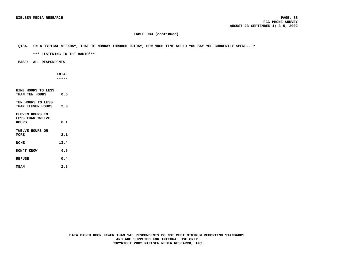# **TABLE 083 (continued)**

# **Q18A. ON A TYPICAL WEEKDAY, THAT IS MONDAY THROUGH FRIDAY, HOW MUCH TIME WOULD YOU SAY YOU CURRENTLY SPEND...?**

 **\*\*\* LISTENING TO THE RADIO\*\*\***

 **BASE: ALL RESPONDENTS**

 **TOTAL -----**

**NINE HOURS TO LESS THAN TEN HOURS 0.6 TEN HOURS TO LESS THAN ELEVEN HOURS 2.0 ELEVEN HOURS TO LESS THAN TWELVE HOURS 0.1 TWELVE HOURS OR MORE 2.1 NONE 13.4 DON'T KNOW 0.5 REFUSE 0.4 MEAN 2.3**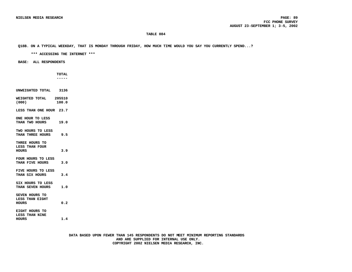**Q18B. ON A TYPICAL WEEKDAY, THAT IS MONDAY THROUGH FRIDAY, HOW MUCH TIME WOULD YOU SAY YOU CURRENTLY SPEND...?**

 **\*\*\* ACCESSING THE INTERNET \*\*\***

 **BASE: ALL RESPONDENTS**

 **TOTAL -----**

**UNWEIGHTED TOTAL 3136 WEIGHTED TOTAL 205510 (000) 100.0 LESS THAN ONE HOUR 23.7 ONE HOUR TO LESS THAN TWO HOURS 19.0 TWO HOURS TO LESS THAN THREE HOURS 9.5 THREE HOURS TO LESS THAN FOUR HOURS 3.9 FOUR HOURS TO LESS THAN FIVE HOURS 3.0 FIVE HOURS TO LESS THAN SIX HOURS 3.4 SIX HOURS TO LESS THAN SEVEN HOURS 1.0 SEVEN HOURS TO LESS THAN EIGHT HOURS 0.2 EIGHT HOURS TO LESS THAN NINE HOURS 1.4**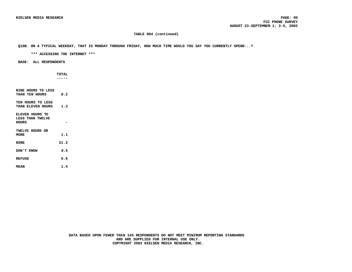# **TABLE 084 (continued)**

# **Q18B. ON A TYPICAL WEEKDAY, THAT IS MONDAY THROUGH FRIDAY, HOW MUCH TIME WOULD YOU SAY YOU CURRENTLY SPEND...?**

 **\*\*\* ACCESSING THE INTERNET \*\*\***

 **BASE: ALL RESPONDENTS**

 **TOTAL -----**

**NINE HOURS TO LESS THAN TEN HOURS 0.2 TEN HOURS TO LESS THAN ELEVEN HOURS 1.3 ELEVEN HOURS TO LESS THAN TWELVE HOURS - TWELVE HOURS OR MORE 1.1 NONE 31.3 DON'T KNOW 0.5 REFUSE 0.6 MEAN 1.4**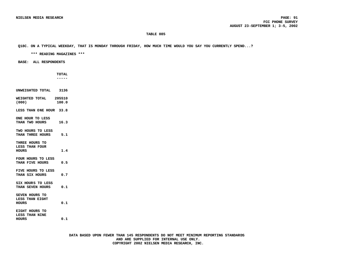# **Q18C. ON A TYPICAL WEEKDAY, THAT IS MONDAY THROUGH FRIDAY, HOW MUCH TIME WOULD YOU SAY YOU CURRENTLY SPEND...?**

 **\*\*\* READING MAGAZINES \*\*\***

 **BASE: ALL RESPONDENTS**

 **TOTAL -----**

**UNWEIGHTED TOTAL 3136 WEIGHTED TOTAL 205510 (000) 100.0 LESS THAN ONE HOUR 33.8 ONE HOUR TO LESS THAN TWO HOURS 16.3 TWO HOURS TO LESS THAN THREE HOURS 5.1 THREE HOURS TO LESS THAN FOUR HOURS 1.4 FOUR HOURS TO LESS THAN FIVE HOURS 0.5 FIVE HOURS TO LESS THAN SIX HOURS 0.7 SIX HOURS TO LESS THAN SEVEN HOURS 0.1 SEVEN HOURS TO LESS THAN EIGHT HOURS 0.1 EIGHT HOURS TO LESS THAN NINE HOURS 0.1**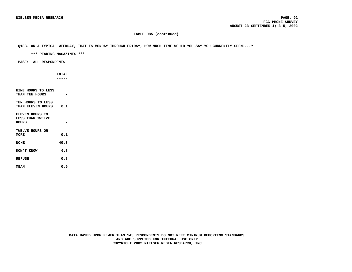# **TABLE 085 (continued)**

## **Q18C. ON A TYPICAL WEEKDAY, THAT IS MONDAY THROUGH FRIDAY, HOW MUCH TIME WOULD YOU SAY YOU CURRENTLY SPEND...?**

 **\*\*\* READING MAGAZINES \*\*\***

 **BASE: ALL RESPONDENTS**

 **TOTAL -----**

**NINE HOURS TO LESS THAN TEN HOURS - TEN HOURS TO LESS THAN ELEVEN HOURS 0.1 ELEVEN HOURS TO LESS THAN TWELVE HOURS - TWELVE HOURS OR MORE 0.1 NONE 40.3 DON'T KNOW 0.8 REFUSE 0.8 MEAN 0.5**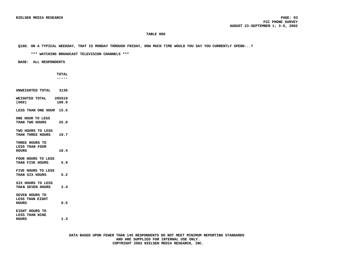**Q18D. ON A TYPICAL WEEKDAY, THAT IS MONDAY THROUGH FRIDAY, HOW MUCH TIME WOULD YOU SAY YOU CURRENTLY SPEND...?**

 **\*\*\* WATCHING BROADCAST TELEVISION CHANNELS \*\*\***

 **BASE: ALL RESPONDENTS**

 **TOTAL -----**

**UNWEIGHTED TOTAL 3136 WEIGHTED TOTAL 205510 (000) 100.0 LESS THAN ONE HOUR 15.5 ONE HOUR TO LESS THAN TWO HOURS 25.0 TWO HOURS TO LESS THAN THREE HOURS 19.7 THREE HOURS TO LESS THAN FOUR HOURS 10.4 FOUR HOURS TO LESS THAN FIVE HOURS 5.9 FIVE HOURS TO LESS THAN SIX HOURS 5.2 SIX HOURS TO LESS THAN SEVEN HOURS 2.4 SEVEN HOURS TO LESS THAN EIGHT HOURS 0.5 EIGHT HOURS TO LESS THAN NINE HOURS 1.3**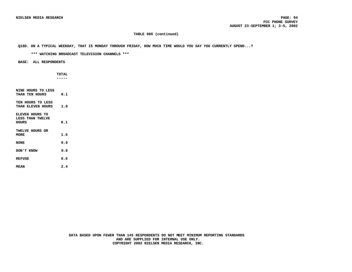# **TABLE 086 (continued)**

## **Q18D. ON A TYPICAL WEEKDAY, THAT IS MONDAY THROUGH FRIDAY, HOW MUCH TIME WOULD YOU SAY YOU CURRENTLY SPEND...?**

 **\*\*\* WATCHING BROADCAST TELEVISION CHANNELS \*\*\***

 **BASE: ALL RESPONDENTS**

 **TOTAL -----**

**NINE HOURS TO LESS THAN TEN HOURS 0.1 TEN HOURS TO LESS THAN ELEVEN HOURS 1.8 ELEVEN HOURS TO LESS THAN TWELVE HOURS 0.1 TWELVE HOURS OR MORE 1.6 NONE 9.0 DON'T KNOW 0.9 REFUSE 0.6 MEAN 2.4**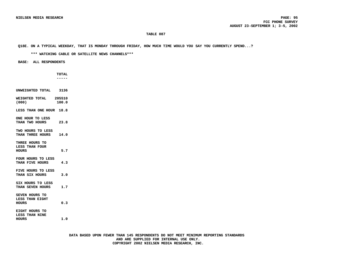#### **Q18E. ON A TYPICAL WEEKDAY, THAT IS MONDAY THROUGH FRIDAY, HOW MUCH TIME WOULD YOU SAY YOU CURRENTLY SPEND...?**

 **\*\*\* WATCHING CABLE OR SATELLITE NEWS CHANNELS\*\*\***

 **BASE: ALL RESPONDENTS**

 **TOTAL -----**

**UNWEIGHTED TOTAL 3136 WEIGHTED TOTAL 205510 (000) 100.0 LESS THAN ONE HOUR 18.8 ONE HOUR TO LESS THAN TWO HOURS 23.8 TWO HOURS TO LESS THAN THREE HOURS 14.0 THREE HOURS TO LESS THAN FOUR HOURS 5.7 FOUR HOURS TO LESS THAN FIVE HOURS 4.3 FIVE HOURS TO LESS THAN SIX HOURS 3.0 SIX HOURS TO LESS THAN SEVEN HOURS 1.7 SEVEN HOURS TO LESS THAN EIGHT HOURS 0.3 EIGHT HOURS TO LESS THAN NINE HOURS 1.0**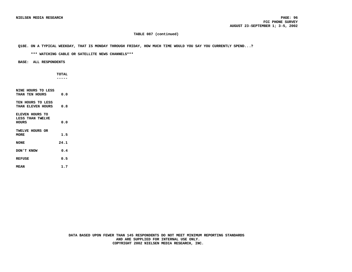### **TABLE 087 (continued)**

### **Q18E. ON A TYPICAL WEEKDAY, THAT IS MONDAY THROUGH FRIDAY, HOW MUCH TIME WOULD YOU SAY YOU CURRENTLY SPEND...?**

 **\*\*\* WATCHING CABLE OR SATELLITE NEWS CHANNELS\*\*\***

 **BASE: ALL RESPONDENTS**

 **TOTAL -----**

**NINE HOURS TO LESS THAN TEN HOURS 0.0 TEN HOURS TO LESS THAN ELEVEN HOURS 0.8 ELEVEN HOURS TO LESS THAN TWELVE HOURS 0.0 TWELVE HOURS OR MORE 1.5 NONE 24.1 DON'T KNOW 0.4 REFUSE 0.5 MEAN 1.7**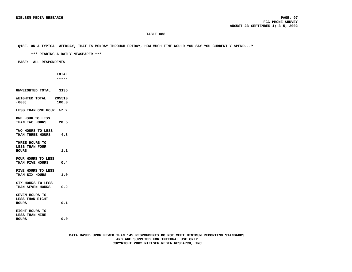### **Q18F. ON A TYPICAL WEEKDAY, THAT IS MONDAY THROUGH FRIDAY, HOW MUCH TIME WOULD YOU SAY YOU CURRENTLY SPEND...?**

 **\*\*\* READING A DAILY NEWSPAPER \*\*\***

 **BASE: ALL RESPONDENTS**

 **TOTAL -----**

**UNWEIGHTED TOTAL 3136 WEIGHTED TOTAL 205510 (000) 100.0 LESS THAN ONE HOUR 47.2 ONE HOUR TO LESS THAN TWO HOURS 20.5 TWO HOURS TO LESS THAN THREE HOURS 4.8 THREE HOURS TO LESS THAN FOUR HOURS 1.1 FOUR HOURS TO LESS THAN FIVE HOURS 0.4 FIVE HOURS TO LESS THAN SIX HOURS 1.0 SIX HOURS TO LESS THAN SEVEN HOURS 0.2 SEVEN HOURS TO LESS THAN EIGHT HOURS 0.1 EIGHT HOURS TO LESS THAN NINE HOURS 0.0**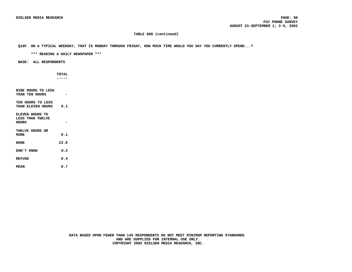### **TABLE 088 (continued)**

### **Q18F. ON A TYPICAL WEEKDAY, THAT IS MONDAY THROUGH FRIDAY, HOW MUCH TIME WOULD YOU SAY YOU CURRENTLY SPEND...?**

 **\*\*\* READING A DAILY NEWSPAPER \*\*\***

 **BASE: ALL RESPONDENTS**

 **TOTAL -----**

**NINE HOURS TO LESS THAN TEN HOURS - TEN HOURS TO LESS THAN ELEVEN HOURS 0.1 ELEVEN HOURS TO LESS THAN TWELVE HOURS - TWELVE HOURS OR MORE 0.1 NONE 23.8 DON'T KNOW 0.2 REFUSE 0.4 MEAN 0.7**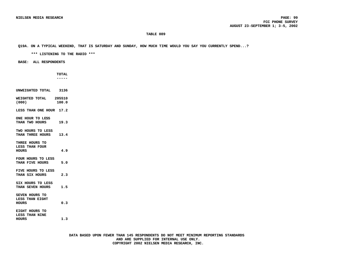#### **Q19A. ON A TYPICAL WEEKEND, THAT IS SATURDAY AND SUNDAY, HOW MUCH TIME WOULD YOU SAY YOU CURRENTLY SPEND...?**

 **\*\*\* LISTENING TO THE RADIO \*\*\***

 **BASE: ALL RESPONDENTS**

 **TOTAL -----**

**UNWEIGHTED TOTAL 3136 WEIGHTED TOTAL 205510 (000) 100.0 LESS THAN ONE HOUR 17.2 ONE HOUR TO LESS THAN TWO HOURS 19.3 TWO HOURS TO LESS THAN THREE HOURS 13.4 THREE HOURS TO LESS THAN FOUR HOURS 4.9 FOUR HOURS TO LESS THAN FIVE HOURS 5.0 FIVE HOURS TO LESS THAN SIX HOURS 2.3 SIX HOURS TO LESS THAN SEVEN HOURS 1.5 SEVEN HOURS TO LESS THAN EIGHT HOURS 0.3 EIGHT HOURS TO LESS THAN NINE**

**HOURS 1.3**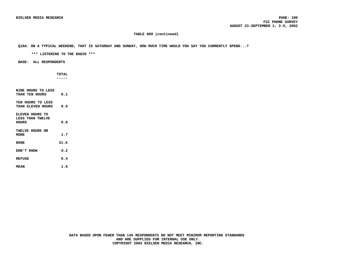### **TABLE 089 (continued)**

### **Q19A. ON A TYPICAL WEEKEND, THAT IS SATURDAY AND SUNDAY, HOW MUCH TIME WOULD YOU SAY YOU CURRENTLY SPEND...?**

 **\*\*\* LISTENING TO THE RADIO \*\*\***

### **BASE: ALL RESPONDENTS**

 **TOTAL -----**

| NINE HOURS TO LESS |      |
|--------------------|------|
| THAN TEN HOURS     | 0.1  |
| TEN HOURS TO LESS  |      |
| THAN ELEVEN HOURS  | 0.9  |
|                    |      |
| ELEVEN HOURS TO    |      |
| LESS THAN TWELVE   |      |
| HOURS              | 0.0  |
|                    |      |
| TWELVE HOURS OR    |      |
| MORE               | 1.7  |
|                    |      |
| <b>NONE</b>        | 31.6 |
| DON'T KNOW         | 0.2  |
|                    |      |
| <b>REFUSE</b>      | 0.4  |
|                    |      |
| <b>MEAN</b>        | 1.6  |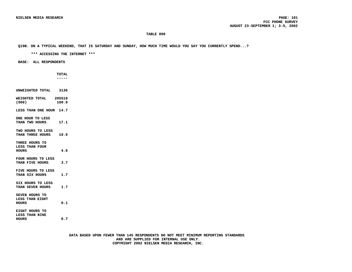**Q19B. ON A TYPICAL WEEKEND, THAT IS SATURDAY AND SUNDAY, HOW MUCH TIME WOULD YOU SAY YOU CURRENTLY SPEND...?**

 **\*\*\* ACCESSING THE INTERNET \*\*\***

 **BASE: ALL RESPONDENTS**

 **TOTAL -----**

**UNWEIGHTED TOTAL 3136 WEIGHTED TOTAL 205510 (000) 100.0 LESS THAN ONE HOUR 14.7 ONE HOUR TO LESS THAN TWO HOURS 17.1 TWO HOURS TO LESS THAN THREE HOURS 10.9 THREE HOURS TO LESS THAN FOUR HOURS 4.0 FOUR HOURS TO LESS THAN FIVE HOURS 3.7 FIVE HOURS TO LESS THAN SIX HOURS 1.7 SIX HOURS TO LESS THAN SEVEN HOURS 1.7 SEVEN HOURS TO LESS THAN EIGHT HOURS 0.1 EIGHT HOURS TO LESS THAN NINE HOURS 0.7**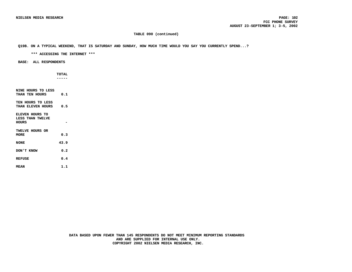### **TABLE 090 (continued)**

### **Q19B. ON A TYPICAL WEEKEND, THAT IS SATURDAY AND SUNDAY, HOW MUCH TIME WOULD YOU SAY YOU CURRENTLY SPEND...?**

 **\*\*\* ACCESSING THE INTERNET \*\*\***

 **BASE: ALL RESPONDENTS**

 **TOTAL -----**

**NINE HOURS TO LESS THAN TEN HOURS 0.1 TEN HOURS TO LESS THAN ELEVEN HOURS 0.5 ELEVEN HOURS TO LESS THAN TWELVE HOURS - TWELVE HOURS OR MORE 0.3 NONE 43.9 DON'T KNOW 0.2 REFUSE 0.4 MEAN 1.1**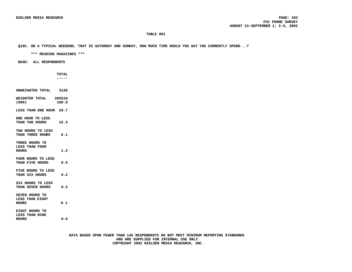**Q19C. ON A TYPICAL WEEKEND, THAT IS SATURDAY AND SUNDAY, HOW MUCH TIME WOULD YOU SAY YOU CURRENTLY SPEND...?**

 **\*\*\* READING MAGAZINES \*\*\***

 **BASE: ALL RESPONDENTS**

 **TOTAL -----**

**UNWEIGHTED TOTAL 3136 WEIGHTED TOTAL 205510 (000) 100.0 LESS THAN ONE HOUR 20.7 ONE HOUR TO LESS THAN TWO HOURS 15.3 TWO HOURS TO LESS THAN THREE HOURS 6.1 THREE HOURS TO LESS THAN FOUR HOURS 1.2 FOUR HOURS TO LESS THAN FIVE HOURS 0.5 FIVE HOURS TO LESS THAN SIX HOURS 0.2 SIX HOURS TO LESS THAN SEVEN HOURS 0.2 SEVEN HOURS TO LESS THAN EIGHT HOURS 0.1 EIGHT HOURS TO LESS THAN NINE HOURS 0.0**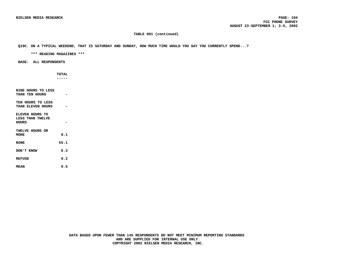### **TABLE 091 (continued)**

### **Q19C. ON A TYPICAL WEEKEND, THAT IS SATURDAY AND SUNDAY, HOW MUCH TIME WOULD YOU SAY YOU CURRENTLY SPEND...?**

 **\*\*\* READING MAGAZINES \*\*\***

 **BASE: ALL RESPONDENTS**

 **TOTAL -----**

**NINE HOURS TO LESS THAN TEN HOURS - TEN HOURS TO LESS THAN ELEVEN HOURS - ELEVEN HOURS TO LESS THAN TWELVE HOURS - TWELVE HOURS OR MORE 0.1 NONE 55.1 DON'T KNOW 0.3 REFUSE 0.2 MEAN 0.5**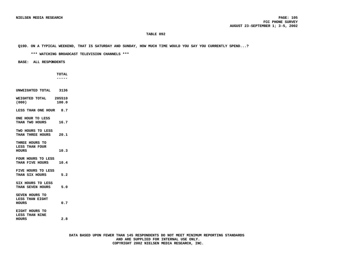**Q19D. ON A TYPICAL WEEKEND, THAT IS SATURDAY AND SUNDAY, HOW MUCH TIME WOULD YOU SAY YOU CURRENTLY SPEND...?**

 **\*\*\* WATCHING BROADCAST TELEVISION CHANNELS \*\*\***

 **BASE: ALL RESPONDENTS**

 **TOTAL -----**

**UNWEIGHTED TOTAL 3136 WEIGHTED TOTAL 205510 (000) 100.0 LESS THAN ONE HOUR 8.7 ONE HOUR TO LESS THAN TWO HOURS 16.7 TWO HOURS TO LESS THAN THREE HOURS 20.1 THREE HOURS TO LESS THAN FOUR HOURS 10.3 FOUR HOURS TO LESS THAN FIVE HOURS 10.4 FIVE HOURS TO LESS THAN SIX HOURS 5.2 SIX HOURS TO LESS THAN SEVEN HOURS 5.0 SEVEN HOURS TO LESS THAN EIGHT HOURS 0.7 EIGHT HOURS TO LESS THAN NINE**

**HOURS 2.8**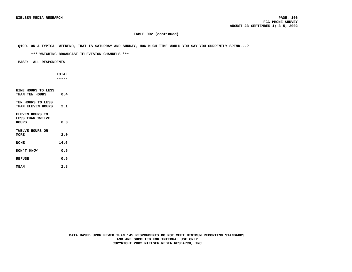### **TABLE 092 (continued)**

### **Q19D. ON A TYPICAL WEEKEND, THAT IS SATURDAY AND SUNDAY, HOW MUCH TIME WOULD YOU SAY YOU CURRENTLY SPEND...?**

 **\*\*\* WATCHING BROADCAST TELEVISION CHANNELS \*\*\***

 **BASE: ALL RESPONDENTS**

 **TOTAL -----**

**NINE HOURS TO LESS THAN TEN HOURS 0.4 TEN HOURS TO LESS THAN ELEVEN HOURS 2.1 ELEVEN HOURS TO LESS THAN TWELVE HOURS 0.0 TWELVE HOURS OR MORE 2.0 NONE 14.6 DON'T KNOW 0.6 REFUSE 0.6 MEAN 2.8**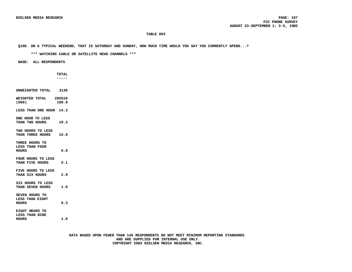#### **Q19E. ON A TYPICAL WEEKEND, THAT IS SATURDAY AND SUNDAY, HOW MUCH TIME WOULD YOU SAY YOU CURRENTLY SPEND...?**

 **\*\*\* WATCHING CABLE OR SATELLITE NEWS CHANNELS \*\*\***

 **BASE: ALL RESPONDENTS**

 **TOTAL -----**

**UNWEIGHTED TOTAL 3136 WEIGHTED TOTAL 205510 (000) 100.0 LESS THAN ONE HOUR 14.2 ONE HOUR TO LESS THAN TWO HOURS 19.2 TWO HOURS TO LESS THAN THREE HOURS 15.0 THREE HOURS TO LESS THAN FOUR HOURS 6.0 FOUR HOURS TO LESS THAN FIVE HOURS 5.1 FIVE HOURS TO LESS THAN SIX HOURS 2.9 SIX HOURS TO LESS THAN SEVEN HOURS 1.9 SEVEN HOURS TO LESS THAN EIGHT HOURS 0.3 EIGHT HOURS TO LESS THAN NINE**

**HOURS 1.8**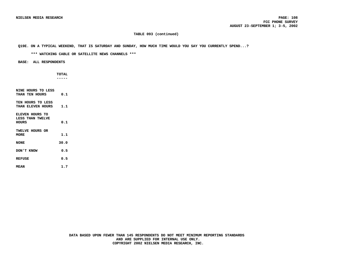### **TABLE 093 (continued)**

### **Q19E. ON A TYPICAL WEEKEND, THAT IS SATURDAY AND SUNDAY, HOW MUCH TIME WOULD YOU SAY YOU CURRENTLY SPEND...?**

 **\*\*\* WATCHING CABLE OR SATELLITE NEWS CHANNELS \*\*\***

 **BASE: ALL RESPONDENTS**

 **TOTAL -----**

**NINE HOURS TO LESS THAN TEN HOURS 0.1 TEN HOURS TO LESS THAN ELEVEN HOURS 1.1 ELEVEN HOURS TO LESS THAN TWELVE HOURS 0.1 TWELVE HOURS OR MORE 1.1 NONE 30.0 DON'T KNOW 0.5 REFUSE 0.5 MEAN 1.7**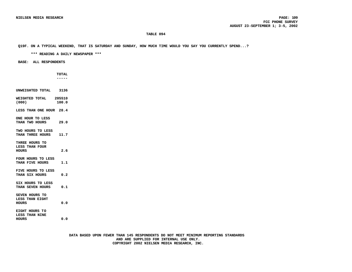#### **Q19F. ON A TYPICAL WEEKEND, THAT IS SATURDAY AND SUNDAY, HOW MUCH TIME WOULD YOU SAY YOU CURRENTLY SPEND...?**

 **\*\*\* READING A DAILY NEWSPAPER \*\*\***

 **BASE: ALL RESPONDENTS**

 **TOTAL -----**

**UNWEIGHTED TOTAL 3136 WEIGHTED TOTAL 205510 (000) 100.0 LESS THAN ONE HOUR 28.4 ONE HOUR TO LESS THAN TWO HOURS 29.0 TWO HOURS TO LESS THAN THREE HOURS 11.7 THREE HOURS TO LESS THAN FOUR HOURS 2.6 FOUR HOURS TO LESS THAN FIVE HOURS 1.1 FIVE HOURS TO LESS THAN SIX HOURS 0.2 SIX HOURS TO LESS THAN SEVEN HOURS 0.1 SEVEN HOURS TO LESS THAN EIGHT HOURS 0.0 EIGHT HOURS TO LESS THAN NINE**

**HOURS 0.0**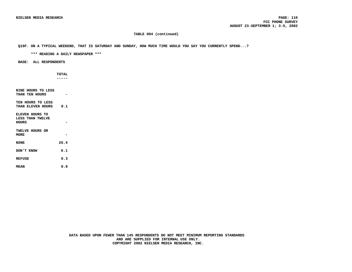### **TABLE 094 (continued)**

### **Q19F. ON A TYPICAL WEEKEND, THAT IS SATURDAY AND SUNDAY, HOW MUCH TIME WOULD YOU SAY YOU CURRENTLY SPEND...?**

 **\*\*\* READING A DAILY NEWSPAPER \*\*\***

 **BASE: ALL RESPONDENTS**

 **TOTAL -----**

**NINE HOURS TO LESS THAN TEN HOURS - TEN HOURS TO LESS THAN ELEVEN HOURS 0.1 ELEVEN HOURS TO LESS THAN TWELVE HOURS - TWELVE HOURS OR MORE - NONE 26.4 DON'T KNOW 0.1 REFUSE 0.3 MEAN 0.8**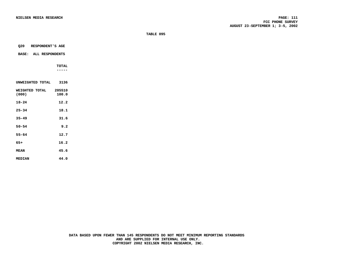**MEDIAN 44.0**

| Q20<br>RESPONDENT'S AGE      |                 |
|------------------------------|-----------------|
|                              |                 |
| <b>BASE: ALL RESPONDENTS</b> |                 |
|                              | <b>TOTAL</b>    |
|                              | ----            |
|                              |                 |
| UNWEIGHTED TOTAL             | 3136            |
| WEIGHTED TOTAL<br>(000)      | 205510<br>100.0 |
|                              |                 |
| $18 - 24$                    | 12.2            |
| $25 - 34$                    | 18.1            |
| $35 - 49$                    | 31.6            |
| $50 - 54$                    | 9.2             |
| $55 - 64$                    | 12.7            |
|                              |                 |
| $65+$                        | 16.2            |
| <b>MEAN</b>                  | 45.6            |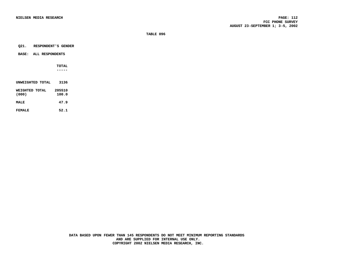#### **Q21. RESPONDENT'S GENDER**

### **BASE: ALL RESPONDENTS**

 **TOTAL -----**

| UNWEIGHTED TOTAL        | 3136            |
|-------------------------|-----------------|
| WEIGHTED TOTAL<br>(000) | 205510<br>100.0 |
| <b>MAT.F.</b>           | 47.9            |
| FFMAL F                 | 52.1            |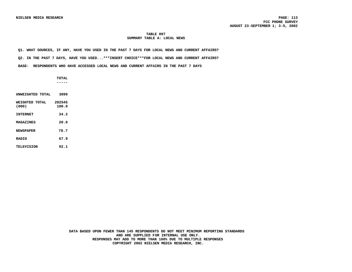### **TABLE 097 SUMMARY TABLE A: LOCAL NEWS**

 **Q1. WHAT SOURCES, IF ANY, HAVE YOU USED IN THE PAST 7 DAYS FOR LOCAL NEWS AND CURRENT AFFAIRS?**

 **Q2. IN THE PAST 7 DAYS, HAVE YOU USED...\*\*\*INSERT CHOICE\*\*\*FOR LOCAL NEWS AND CURRENT AFFAIRS?**

 **BASE: RESPONDENTS WHO HAVE ACCESSED LOCAL NEWS AND CURRENT AFFAIRS IN THE PAST 7 DAYS**

 **TOTAL -----**

**UNWEIGHTED TOTAL 3099 WEIGHTED TOTAL 202545**<br>(000) 100.0 **(000) 100.0 INTERNET 34.2 MAGAZINES 20.0** NEWSPAPER 78.7 **RADIO 67.9 TELEVISION 92.1**

> **DATA BASED UPON FEWER THAN 145 RESPONDENTS DO NOT MEET MINIMUM REPORTING STANDARDS AND ARE SUPPLIED FOR INTERNAL USE ONLY. RESPONSES MAY ADD TO MORE THAN 100% DUE TO MULTIPLE RESPONSES COPYRIGHT 2002 NIELSEN MEDIA RESEARCH, INC.**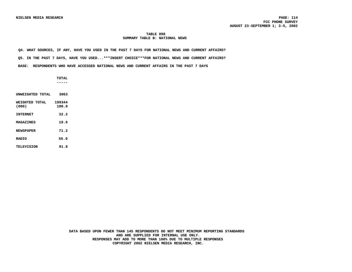### **TABLE 098 SUMMARY TABLE B: NATIONAL NEWS**

**Q4. WHAT SOURCES, IF ANY, HAVE YOU USED IN THE PAST 7 DAYS FOR NATIONAL NEWS AND CURRENT AFFAIRS?**

 **Q5. IN THE PAST 7 DAYS, HAVE YOU USED...\*\*\*INSERT CHOICE\*\*\*FOR NATIONAL NEWS AND CURRENT AFFAIRS?**

 **BASE: RESPONDENTS WHO HAVE ACCESSED NATIONAL NEWS AND CURRENT AFFAIRS IN THE PAST 7 DAYS**

 **TOTAL -----**

**UNWEIGHTED TOTAL 3063 WEIGHTED TOTAL 199344**<br>(000) 100.0 **(000) 100.0 INTERNET 32.2 MAGAZINES 19.6 NEWSPAPER 71.2 RADIO 56.0 TELEVISION 91.8**

> **DATA BASED UPON FEWER THAN 145 RESPONDENTS DO NOT MEET MINIMUM REPORTING STANDARDS AND ARE SUPPLIED FOR INTERNAL USE ONLY. RESPONSES MAY ADD TO MORE THAN 100% DUE TO MULTIPLE RESPONSES COPYRIGHT 2002 NIELSEN MEDIA RESEARCH, INC.**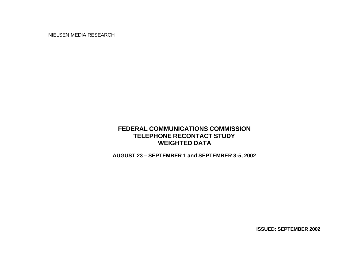NIELSEN MEDIA RESEARCH

# **FEDERAL COMMUNICATIONS COMMISSION TELEPHONE RECONTACT STUDY WEIGHTED DATA**

**AUGUST 23 – SEPTEMBER 1 and SEPTEMBER 3-5, 2002**

**ISSUED: SEPTEMBER 2002**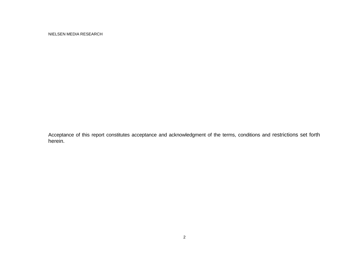NIELSEN MEDIA RESEARCH

Acceptance of this report constitutes acceptance and acknowledgment of the terms, conditions and restrictions set forth herein.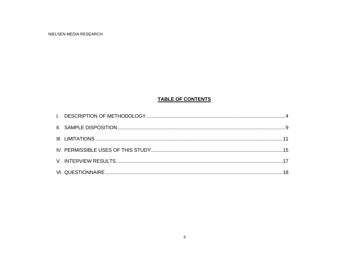## **TABLE OF CONTENTS**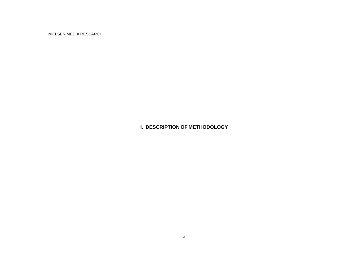NIELSEN MEDIA RESEARCH

## **I. DESCRIPTION OF METHODOLOGY**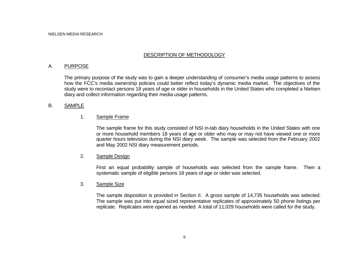## DESCRIPTION OF METHODOLOGY

## A. PURPOSE

The primary purpose of the study was to gain a deeper understanding of consumer's media usage patterns to assess how the FCC's media ownership policies could better reflect today's dynamic media market. The objectives of the study were to recontact persons 18 years of age or older in households in the United States who completed a Nielsen diary and collect information regarding their media usage patterns.

### B. SAMPLE

### 1. Sample Frame

The sample frame for this study consisted of NSI in-tab diary households in the United States with one or more household members 18 years of age or older who may or may not have viewed one or more quarter hours television during the NSI diary week. The sample was selected from the February 2002 and May 2002 NSI diary measurement periods.

### 2. Sample Design

First an equal probability sample of households was selected from the sample frame. Then a systematic sample of eligible persons 18 years of age or older was selected.

### 3. Sample Size

The sample disposition is provided in Section II. A gross sample of 14,735 households was selected. The sample was put into equal sized representative replicates of approximately 50 phone listings per replicate. Replicates were opened as needed. A total of 11,029 households were called for the study.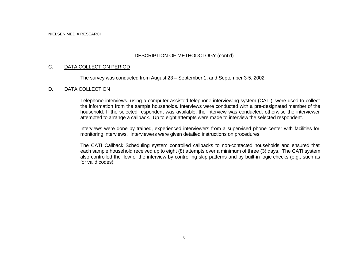## DESCRIPTION OF METHODOLOGY (cont'd)

## C. DATA COLLECTION PERIOD

The survey was conducted from August 23 – September 1, and September 3-5, 2002.

### D. DATA COLLECTION

Telephone interviews, using a computer assisted telephone interviewing system (CATI), were used to collect the information from the sample households. Interviews were conducted with a pre-designated member of the household. If the selected respondent was available, the interview was conducted; otherwise the interviewer attempted to arrange a callback. Up to eight attempts were made to interview the selected respondent.

Interviews were done by trained, experienced interviewers from a supervised phone center with facilities for monitoring interviews. Interviewers were given detailed instructions on procedures.

The CATI Callback Scheduling system controlled callbacks to non-contacted households and ensured that each sample household received up to eight (8) attempts over a minimum of three (3) days. The CATI system also controlled the flow of the interview by controlling skip patterns and by built-in logic checks (e.g., such as for valid codes).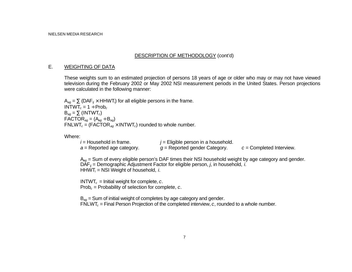## DESCRIPTION OF METHODOLOGY (cont'd)

### E. WEIGHTING OF DATA

These weights sum to an estimated projection of persons 18 years of age or older who may or may not have viewed television during the February 2002 or May 2002 NSI measurement periods in the United States. Person projections were calculated in the following manner:

 $A_{aa} = \sum (DAF_{ii} \times HHWT_i)$  for all eligible persons in the frame.  $INTWT<sub>c</sub> = 1 \div \text{Prob}<sub>c</sub>$  $B_{aa} = \sum (INTWT_c)$  $\mathsf{FACTOR}_{ag} = (\mathsf{A}_{ag} \div \mathsf{B}_{ag})$  $FNLWT_c = (FACTOR_{aq} \times INTWT_c)$  rounded to whole number.

Where:

| $i$ = Household in frame.    | $j =$ Eligible person in a household. |                            |
|------------------------------|---------------------------------------|----------------------------|
| $a$ = Reported age category. | $g$ = Reported gender Category.       | $c =$ Completed Interview. |

A*ag* = Sum of every eligible person's DAF times their NSI household weight by age category and gender. DAF*ij* = Demographic Adjustment Factor for eligible person, *j*, in household, *i*. HHWT*i* = NSI Weight of household, *i*.

INTWT<sub>c</sub> = Initial weight for complete,  $c$ . Prob*c* = Probability of selection for complete, *c*.

B*ag* = Sum of initial weight of completes by age category and gender. FNLWT*c* = Final Person Projection of the completed interview, *c*, rounded to a whole number.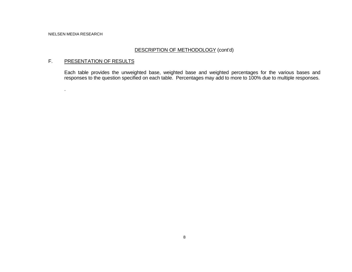.

## DESCRIPTION OF METHODOLOGY (cont'd)

## F. PRESENTATION OF RESULTS

Each table provides the unweighted base, weighted base and weighted percentages for the various bases and responses to the question specified on each table. Percentages may add to more to 100% due to multiple responses.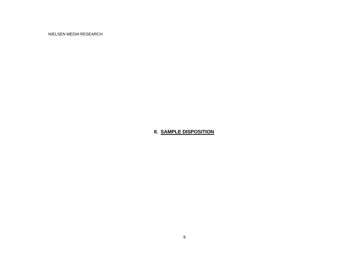NIELSEN MEDIA RESEARCH

## **II. SAMPLE DISPOSITION**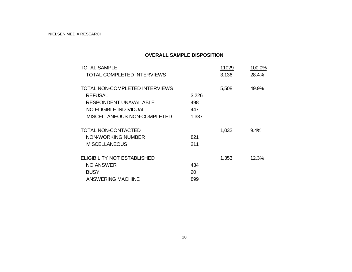## **OVERALL SAMPLE DISPOSITION**

| <b>TOTAL SAMPLE</b>                |       | 11029 | 100.0% |
|------------------------------------|-------|-------|--------|
| <b>TOTAL COMPLETED INTERVIEWS</b>  |       | 3,136 | 28.4%  |
| TOTAL NON-COMPLETED INTERVIEWS     |       | 5,508 | 49.9%  |
| <b>REFUSAL</b>                     | 3,226 |       |        |
| <b>RESPONDENT UNAVAILABLE</b>      | 498   |       |        |
| NO ELIGIBLE IND IVIDUAL            | 447   |       |        |
| MISCELLANEOUS NON-COMPLETED        | 1,337 |       |        |
| TOTAL NON-CONTACTED                |       | 1,032 | 9.4%   |
| NON-WORKING NUMBER                 | 821   |       |        |
| <b>MISCELLANEOUS</b>               | 211   |       |        |
| <b>ELIGIBILITY NOT ESTABLISHED</b> |       | 1,353 | 12.3%  |
| <b>NO ANSWER</b>                   | 434   |       |        |
| <b>BUSY</b>                        | 20    |       |        |
| <b>ANSWERING MACHINE</b>           | 899   |       |        |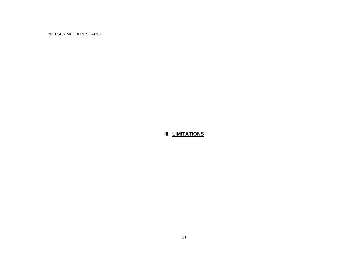NIELSEN MEDIA RESEARCH

# **III. LIMITATIONS**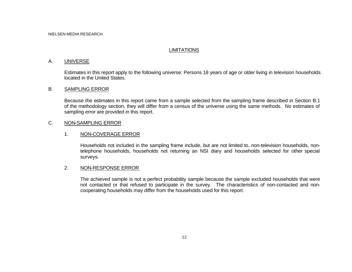## **LIMITATIONS**

## A. UNIVERSE

Estimates in this report apply to the following universe: Persons 18 years of age or older living in television households located in the United States.

### B. SAMPLING ERROR

Because the estimates in this report came from a sample selected from the sampling frame described in Section B.1 of the methodology section, they will differ from a census of the universe using the same methods. No estimates of sampling error are provided in this report.

## C. NON-SAMPLING ERROR

## 1. NON-COVERAGE ERROR

Households not included in the sampling frame include, but are not limited to, non-television households, nontelephone households, households not returning an NSI diary and households selected for other special surveys.

## 2. NON-RESPONSE ERROR

The achieved sample is not a perfect probability sample because the sample excluded households that were not contacted or that refused to participate in the survey. The characteristics of non-contacted and noncooperating households may differ from the households used for this report.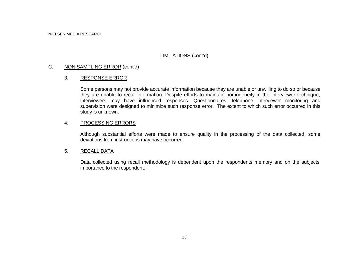## LIMITATIONS (cont'd)

## C. NON-SAMPLING ERROR (cont'd)

## 3. RESPONSE ERROR

Some persons may not provide accurate information because they are unable or unwilling to do so or because they are unable to recall information. Despite efforts to maintain homogeneity in the interviewer technique, interviewers may have influenced responses. Questionnaires, telephone interviewer monitoring and supervision were designed to minimize such response error. The extent to which such error occurred in this study is unknown.

## 4. PROCESSING ERRORS

Although substantial efforts were made to ensure quality in the processing of the data collected, some deviations from instructions may have occurred.

## 5. RECALL DATA

Data collected using recall methodology is dependent upon the respondents memory and on the subjects importance to the respondent.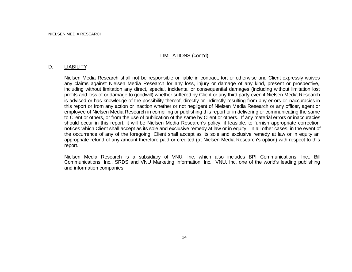## LIMITATIONS (cont'd)

### D. LIABILITY

Nielsen Media Research shall not be responsible or liable in contract, tort or otherwise and Client expressly waives any claims against Nielsen Media Research for any loss, injury or damage of any kind, present or prospective, including without limitation any direct, special, incidental or consequential damages (including without limitation lost profits and loss of or damage to goodwill) whether suffered by Client or any third party even if Nielsen Media Research is advised or has knowledge of the possibility thereof, directly or indirectly resulting from any errors or inaccuracies in this report or from any action or inaction whether or not negligent of Nielsen Media Research or any officer, agent or employee of Nielsen Media Research in compiling or publishing this report or in delivering or communicating the same to Client or others, or from the use of publication of the same by Client or others. If any material errors or inaccuracies should occur in this report, it will be Nielsen Media Research's policy, if feasible, to furnish appropriate correction notices which Client shall accept as its sole and exclusive remedy at law or in equity. In all other cases, in the event of the occurrence of any of the foregoing, Client shall accept as its sole and exclusive remedy at law or in equity an appropriate refund of any amount therefore paid or credited (at Nielsen Media Research's option) with respect to this report.

Nielsen Media Research is a subsidiary of VNU, Inc. which also includes BPI Communications, Inc., Bill Communications, Inc., SRDS and VNU Marketing Information, Inc. VNU, Inc. one of the world's leading publishing and information companies.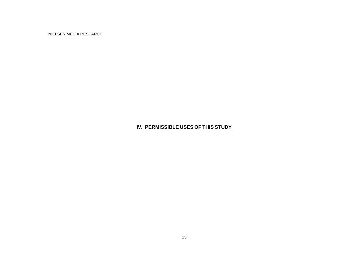NIELSEN MEDIA RESEARCH

# **IV. PERMISSIBLE USES OF THIS STUDY**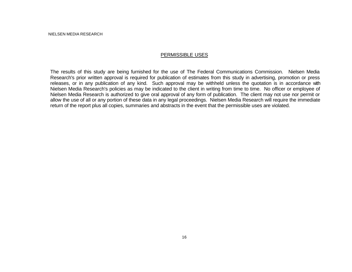NIELSEN MEDIA RESEARCH

### PERMISSIBLE USES

The results of this study are being furnished for the use of The Federal Communications Commission. Nielsen Media Research's prior written approval is required for publication of estimates from this study in advertising, promotion or press releases, or in any publication of any kind. Such approval may be withheld unless the quotation is in accordance with Nielsen Media Research's policies as may be indicated to the client in writing from time to time. No officer or employee of Nielsen Media Research is authorized to give oral approval of any form of publication. The client may not use nor permit or allow the use of all or any portion of these data in any legal proceedings. Nielsen Media Research will require the immediate return of the report plus all copies, summaries and abstracts in the event that the permissible uses are violated.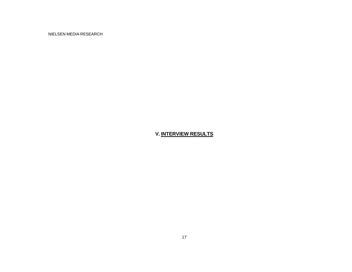NIELSEN MEDIA RESEARCH

## **V. INTERVIEW RESULTS**